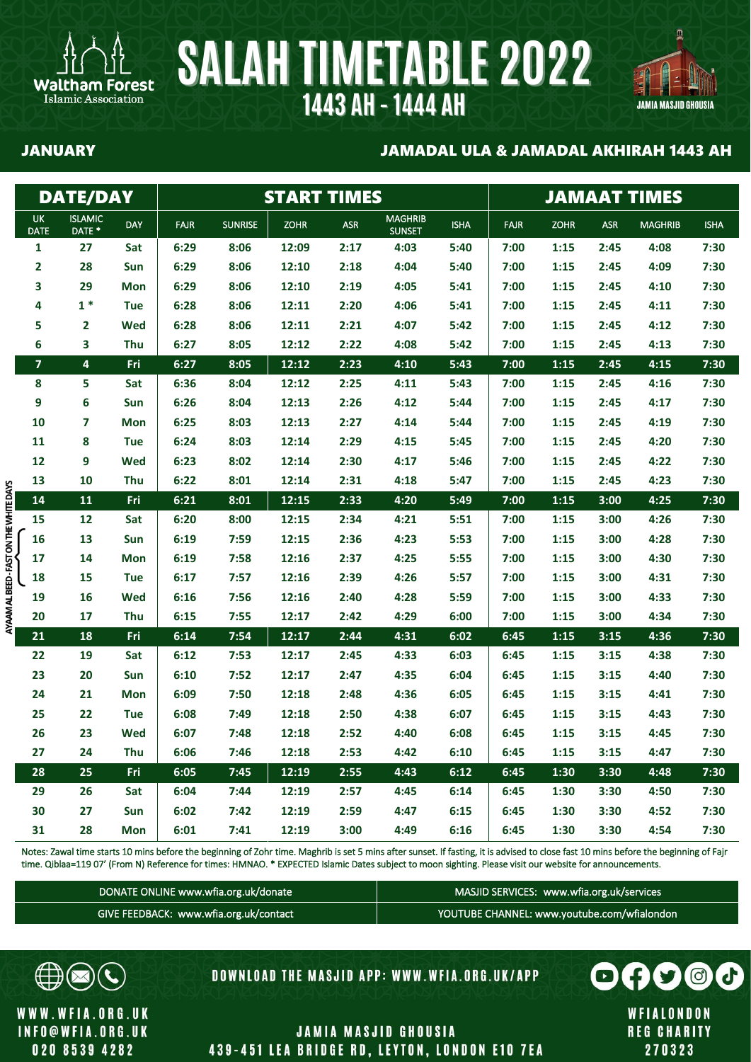



### JANUARY JAMADAL ULA & JAMADAL AKHIRAH 1443 AH

|                                        |                         | <b>DATE/DAY</b>          |            |             |                | <b>START TIMES</b> |            |                                 |             | <b>JAMAAT TIMES</b> |             |            |                |             |  |
|----------------------------------------|-------------------------|--------------------------|------------|-------------|----------------|--------------------|------------|---------------------------------|-------------|---------------------|-------------|------------|----------------|-------------|--|
|                                        | UK.<br><b>DATE</b>      | <b>ISLAMIC</b><br>DATE * | <b>DAY</b> | <b>FAJR</b> | <b>SUNRISE</b> | <b>ZOHR</b>        | <b>ASR</b> | <b>MAGHRIB</b><br><b>SUNSET</b> | <b>ISHA</b> | <b>FAJR</b>         | <b>ZOHR</b> | <b>ASR</b> | <b>MAGHRIB</b> | <b>ISHA</b> |  |
|                                        | 1                       | 27                       | Sat        | 6:29        | 8:06           | 12:09              | 2:17       | 4:03                            | 5:40        | 7:00                | 1:15        | 2:45       | 4:08           | 7:30        |  |
|                                        | 2                       | 28                       | Sun        | 6:29        | 8:06           | 12:10              | 2:18       | 4:04                            | 5:40        | 7:00                | 1:15        | 2:45       | 4:09           | 7:30        |  |
|                                        | 3                       | 29                       | <b>Mon</b> | 6:29        | 8:06           | 12:10              | 2:19       | 4:05                            | 5:41        | 7:00                | 1:15        | 2:45       | 4:10           | 7:30        |  |
|                                        | 4                       | $1*$                     | <b>Tue</b> | 6:28        | 8:06           | 12:11              | 2:20       | 4:06                            | 5:41        | 7:00                | 1:15        | 2:45       | 4:11           | 7:30        |  |
|                                        | 5                       | $\mathbf{2}$             | Wed        | 6:28        | 8:06           | 12:11              | 2:21       | 4:07                            | 5:42        | 7:00                | 1:15        | 2:45       | 4:12           | 7:30        |  |
|                                        | 6                       | 3                        | Thu        | 6:27        | 8:05           | 12:12              | 2:22       | 4:08                            | 5:42        | 7:00                | 1:15        | 2:45       | 4:13           | 7:30        |  |
|                                        | $\overline{\mathbf{z}}$ | 4                        | Fri        | 6:27        | 8:05           | 12:12              | 2:23       | 4:10                            | 5:43        | 7:00                | 1:15        | 2:45       | 4:15           | 7:30        |  |
|                                        | 8                       | 5                        | Sat        | 6:36        | 8:04           | 12:12              | 2:25       | 4:11                            | 5:43        | 7:00                | 1:15        | 2:45       | 4:16           | 7:30        |  |
|                                        | 9                       | 6                        | Sun        | 6:26        | 8:04           | 12:13              | 2:26       | 4:12                            | 5:44        | 7:00                | 1:15        | 2:45       | 4:17           | 7:30        |  |
|                                        | 10                      | 7                        | <b>Mon</b> | 6:25        | 8:03           | 12:13              | 2:27       | 4:14                            | 5:44        | 7:00                | 1:15        | 2:45       | 4:19           | 7:30        |  |
|                                        | 11                      | 8                        | <b>Tue</b> | 6:24        | 8:03           | 12:14              | 2:29       | 4:15                            | 5:45        | 7:00                | 1:15        | 2:45       | 4:20           | 7:30        |  |
|                                        | 12                      | 9                        | <b>Wed</b> | 6:23        | 8:02           | 12:14              | 2:30       | 4:17                            | 5:46        | 7:00                | 1:15        | 2:45       | 4:22           | 7:30        |  |
|                                        | 13                      | 10                       | Thu        | 6:22        | 8:01           | 12:14              | 2:31       | 4:18                            | 5:47        | 7:00                | 1:15        | 2:45       | 4:23           | 7:30        |  |
| AYAAM AL BEED - FAST ON THE WHITE DAYS | 14                      | 11                       | Fri        | 6:21        | 8:01           | 12:15              | 2:33       | 4:20                            | 5:49        | 7:00                | 1:15        | 3:00       | 4:25           | 7:30        |  |
|                                        | 15                      | 12                       | Sat        | 6:20        | 8:00           | 12:15              | 2:34       | 4:21                            | 5:51        | 7:00                | 1:15        | 3:00       | 4:26           | 7:30        |  |
|                                        | 16                      | 13                       | Sun        | 6:19        | 7:59           | 12:15              | 2:36       | 4:23                            | 5:53        | 7:00                | 1:15        | 3:00       | 4:28           | 7:30        |  |
|                                        | 17                      | 14                       | <b>Mon</b> | 6:19        | 7:58           | 12:16              | 2:37       | 4:25                            | 5:55        | 7:00                | 1:15        | 3:00       | 4:30           | 7:30        |  |
|                                        | 18                      | 15                       | <b>Tue</b> | 6:17        | 7:57           | 12:16              | 2:39       | 4:26                            | 5:57        | 7:00                | 1:15        | 3:00       | 4:31           | 7:30        |  |
|                                        | 19                      | 16                       | Wed        | 6:16        | 7:56           | 12:16              | 2:40       | 4:28                            | 5:59        | 7:00                | 1:15        | 3:00       | 4:33           | 7:30        |  |
|                                        | 20                      | 17                       | Thu        | 6:15        | 7:55           | 12:17              | 2:42       | 4:29                            | 6:00        | 7:00                | 1:15        | 3:00       | 4:34           | 7:30        |  |
|                                        | 21                      | 18                       | Fri        | 6:14        | 7:54           | 12:17              | 2:44       | 4:31                            | 6:02        | 6:45                | 1:15        | 3:15       | 4:36           | 7:30        |  |
|                                        | 22                      | 19                       | Sat        | 6:12        | 7:53           | 12:17              | 2:45       | 4:33                            | 6:03        | 6:45                | 1:15        | 3:15       | 4:38           | 7:30        |  |
|                                        | 23                      | 20                       | Sun        | 6:10        | 7:52           | 12:17              | 2:47       | 4:35                            | 6:04        | 6:45                | 1:15        | 3:15       | 4:40           | 7:30        |  |
|                                        | 24                      | 21                       | <b>Mon</b> | 6:09        | 7:50           | 12:18              | 2:48       | 4:36                            | 6:05        | 6:45                | 1:15        | 3:15       | 4:41           | 7:30        |  |
|                                        | 25                      | 22                       | <b>Tue</b> | 6:08        | 7:49           | 12:18              | 2:50       | 4:38                            | 6:07        | 6:45                | 1:15        | 3:15       | 4:43           | 7:30        |  |
|                                        | 26                      | 23                       | Wed        | 6:07        | 7:48           | 12:18              | 2:52       | 4:40                            | 6:08        | 6:45                | 1:15        | 3:15       | 4:45           | 7:30        |  |
|                                        | 27                      | 24                       | Thu        | 6:06        | 7:46           | 12:18              | 2:53       | 4:42                            | 6:10        | 6:45                | 1:15        | 3:15       | 4:47           | 7:30        |  |
|                                        | 28                      | 25                       | Fri        | 6:05        | 7:45           | 12:19              | 2:55       | 4:43                            | 6:12        | 6:45                | 1:30        | 3:30       | 4:48           | 7:30        |  |
|                                        | 29                      | 26                       | Sat        | 6:04        | 7:44           | 12:19              | 2:57       | 4:45                            | 6:14        | 6:45                | 1:30        | 3:30       | 4:50           | 7:30        |  |
|                                        | 30                      | 27                       | Sun        | 6:02        | 7:42           | 12:19              | 2:59       | 4:47                            | 6:15        | 6:45                | 1:30        | 3:30       | 4:52           | 7:30        |  |
|                                        | 31                      | 28                       | Mon        | 6:01        | 7:41           | 12:19              | 3:00       | 4:49                            | 6:16        | 6:45                | 1:30        | 3:30       | 4:54           | 7:30        |  |

Notes: Zawal time starts 10 mins before the beginning of Zohr time. Maghrib is set 5 mins after sunset. If fasting, it is advised to close fast 10 mins before the beginning of Fajr time. Qiblaa=119 07' (From N) Reference for times: HMNAO. \* EXPECTED Islamic Dates subject to moon sighting. Please visit our website for announcements.

| DONATE ONLINE www.wfia.org.uk/donate   | MASJID SERVICES: www.wfia.org.uk/services   |
|----------------------------------------|---------------------------------------------|
| GIVE FEEDBACK: www.wfia.org.uk/contact | YOUTUBE CHANNEL: www.youtube.com/wfialondon |



WWW.WFIA.ORG.UK **INFO@WFIA.ORG.UK** 020 8539 4282

**DOWNLOAD THE MASJID APP: WWW.WFIA.ORG.UK/APP** 

0  $O(f)$   $O$   $O$ WFIALONDON **REG CHARITY** 

270323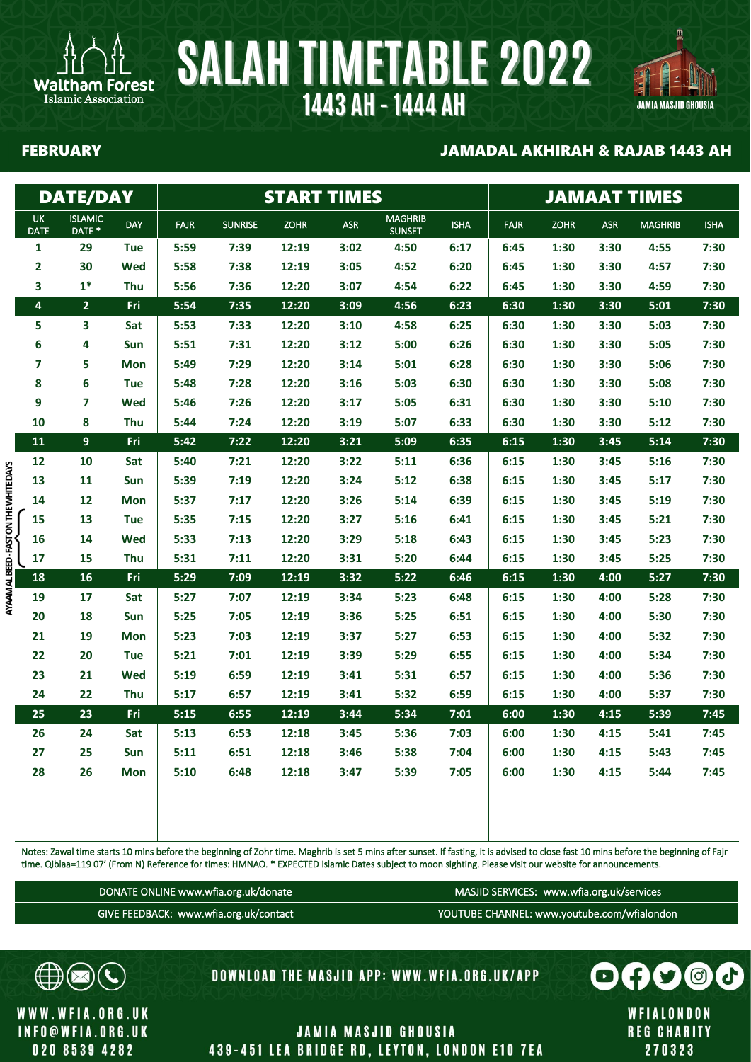

Islamic Association

### FEBRUARY JAMADAL AKHIRAH & RAJAB 1443 AH

具

JAMIA MASJID GHOUSIA

|                                        |                          | <b>DATE/DAY</b>                     |            |             |                | <b>START TIMES</b> |            |                                 |             | <b>JAMAAT TIMES</b> |             |            |                |             |  |
|----------------------------------------|--------------------------|-------------------------------------|------------|-------------|----------------|--------------------|------------|---------------------------------|-------------|---------------------|-------------|------------|----------------|-------------|--|
|                                        | <b>UK</b><br><b>DATE</b> | <b>ISLAMIC</b><br>DATE <sup>*</sup> | <b>DAY</b> | <b>FAJR</b> | <b>SUNRISE</b> | <b>ZOHR</b>        | <b>ASR</b> | <b>MAGHRIB</b><br><b>SUNSET</b> | <b>ISHA</b> | <b>FAJR</b>         | <b>ZOHR</b> | <b>ASR</b> | <b>MAGHRIB</b> | <b>ISHA</b> |  |
|                                        | 1                        | 29                                  | Tue        | 5:59        | 7:39           | 12:19              | 3:02       | 4:50                            | 6:17        | 6:45                | 1:30        | 3:30       | 4:55           | 7:30        |  |
|                                        | 2                        | 30                                  | Wed        | 5:58        | 7:38           | 12:19              | 3:05       | 4:52                            | 6:20        | 6:45                | 1:30        | 3:30       | 4:57           | 7:30        |  |
|                                        | 3                        | $1*$                                | <b>Thu</b> | 5:56        | 7:36           | 12:20              | 3:07       | 4:54                            | 6:22        | 6:45                | 1:30        | 3:30       | 4:59           | 7:30        |  |
|                                        | $\overline{\mathbf{4}}$  | $\overline{2}$                      | Fri        | 5:54        | 7:35           | 12:20              | 3:09       | 4:56                            | 6:23        | 6:30                | 1:30        | 3:30       | 5:01           | 7:30        |  |
|                                        | 5                        | 3                                   | Sat        | 5:53        | 7:33           | 12:20              | 3:10       | 4:58                            | 6:25        | 6:30                | 1:30        | 3:30       | 5:03           | 7:30        |  |
|                                        | 6                        | 4                                   | Sun        | 5:51        | 7:31           | 12:20              | 3:12       | 5:00                            | 6:26        | 6:30                | 1:30        | 3:30       | 5:05           | 7:30        |  |
|                                        | 7                        | 5                                   | <b>Mon</b> | 5:49        | 7:29           | 12:20              | 3:14       | 5:01                            | 6:28        | 6:30                | 1:30        | 3:30       | 5:06           | 7:30        |  |
|                                        | 8                        | 6                                   | Tue        | 5:48        | 7:28           | 12:20              | 3:16       | 5:03                            | 6:30        | 6:30                | 1:30        | 3:30       | 5:08           | 7:30        |  |
|                                        | 9                        | $\overline{7}$                      | Wed        | 5:46        | 7:26           | 12:20              | 3:17       | 5:05                            | 6:31        | 6:30                | 1:30        | 3:30       | 5:10           | 7:30        |  |
|                                        | 10                       | 8                                   | Thu        | 5:44        | 7:24           | 12:20              | 3:19       | 5:07                            | 6:33        | 6:30                | 1:30        | 3:30       | 5:12           | 7:30        |  |
|                                        | 11                       | $\overline{9}$                      | Fri        | 5:42        | 7:22           | 12:20              | 3:21       | 5:09                            | 6:35        | 6:15                | 1:30        | 3:45       | 5:14           | 7:30        |  |
|                                        | 12                       | 10                                  | Sat        | 5:40        | 7:21           | 12:20              | 3:22       | 5:11                            | 6:36        | 6:15                | 1:30        | 3:45       | 5:16           | 7:30        |  |
|                                        | 13                       | 11                                  | Sun        | 5:39        | 7:19           | 12:20              | 3:24       | 5:12                            | 6:38        | 6:15                | 1:30        | 3:45       | 5:17           | 7:30        |  |
|                                        | 14                       | 12                                  | Mon        | 5:37        | 7:17           | 12:20              | 3:26       | 5:14                            | 6:39        | 6:15                | 1:30        | 3:45       | 5:19           | 7:30        |  |
|                                        | 15                       | 13                                  | <b>Tue</b> | 5:35        | 7:15           | 12:20              | 3:27       | 5:16                            | 6:41        | 6:15                | 1:30        | 3:45       | 5:21           | 7:30        |  |
|                                        | 16                       | 14                                  | Wed        | 5:33        | 7:13           | 12:20              | 3:29       | 5:18                            | 6:43        | 6:15                | 1:30        | 3:45       | 5:23           | 7:30        |  |
|                                        | 17                       | 15                                  | Thu        | 5:31        | 7:11           | 12:20              | 3:31       | 5:20                            | 6:44        | 6:15                | 1:30        | 3:45       | 5:25           | 7:30        |  |
| AYAAM AL BEED - FAST ON THE WHITE DAYS | 18                       | 16                                  | Fri        | 5:29        | 7:09           | 12:19              | 3:32       | 5:22                            | 6:46        | 6:15                | 1:30        | 4:00       | 5:27           | 7:30        |  |
|                                        | 19                       | 17                                  | Sat        | 5:27        | 7:07           | 12:19              | 3:34       | 5:23                            | 6:48        | 6:15                | 1:30        | 4:00       | 5:28           | 7:30        |  |
|                                        | 20                       | 18                                  | <b>Sun</b> | 5:25        | 7:05           | 12:19              | 3:36       | 5:25                            | 6:51        | 6:15                | 1:30        | 4:00       | 5:30           | 7:30        |  |
|                                        | 21                       | 19                                  | <b>Mon</b> | 5:23        | 7:03           | 12:19              | 3:37       | 5:27                            | 6:53        | 6:15                | 1:30        | 4:00       | 5:32           | 7:30        |  |
|                                        | 22                       | 20                                  | <b>Tue</b> | 5:21        | 7:01           | 12:19              | 3:39       | 5:29                            | 6:55        | 6:15                | 1:30        | 4:00       | 5:34           | 7:30        |  |
|                                        | 23                       | 21                                  | Wed        | 5:19        | 6:59           | 12:19              | 3:41       | 5:31                            | 6:57        | 6:15                | 1:30        | 4:00       | 5:36           | 7:30        |  |
|                                        | 24                       | 22                                  | Thu        | 5:17        | 6:57           | 12:19              | 3:41       | 5:32                            | 6:59        | 6:15                | 1:30        | 4:00       | 5:37           | 7:30        |  |
|                                        | 25                       | 23                                  | Fri        | 5:15        | 6:55           | 12:19              | 3:44       | 5:34                            | 7:01        | 6:00                | 1:30        | 4:15       | 5:39           | 7:45        |  |
|                                        | 26                       | 24                                  | Sat        | 5:13        | 6:53           | 12:18              | 3:45       | 5:36                            | 7:03        | 6:00                | 1:30        | 4:15       | 5:41           | 7:45        |  |
|                                        | 27                       | 25                                  | Sun        | 5:11        | 6:51           | 12:18              | 3:46       | 5:38                            | 7:04        | 6:00                | 1:30        | 4:15       | 5:43           | 7:45        |  |
|                                        | 28                       | 26                                  | <b>Mon</b> | 5:10        | 6:48           | 12:18              | 3:47       | 5:39                            | 7:05        | 6:00                | 1:30        | 4:15       | 5:44           | 7:45        |  |
|                                        |                          |                                     |            |             |                |                    |            |                                 |             |                     |             |            |                |             |  |
|                                        |                          |                                     |            |             |                |                    |            |                                 |             |                     |             |            |                |             |  |

Notes: Zawal time starts 10 mins before the beginning of Zohr time. Maghrib is set 5 mins after sunset. If fasting, it is advised to close fast 10 mins before the beginning of Fajr time. Qiblaa=119 07' (From N) Reference for times: HMNAO. \* EXPECTED Islamic Dates subject to moon sighting. Please visit our website for announcements.

| DONATE ONLINE www.wfia.org.uk/donate   | MASJID SERVICES: www.wfia.org.uk/services   |
|----------------------------------------|---------------------------------------------|
| GIVE FEEDBACK: www.wfia.org.uk/contact | YOUTUBE CHANNEL: www.youtube.com/wfialondon |



WWW.WFIA.ORG.UK **INFO@WFIA.ORG.UK** 020 8539 4282

DOWNLOAD THE MASJID APP: WWW.WFIA.ORG.UK/APP

WFIALONDON **REG CHARITY** 270323

 $\boldsymbol{\Theta}$ 

 $\bigodot$ 

0

 $\odot$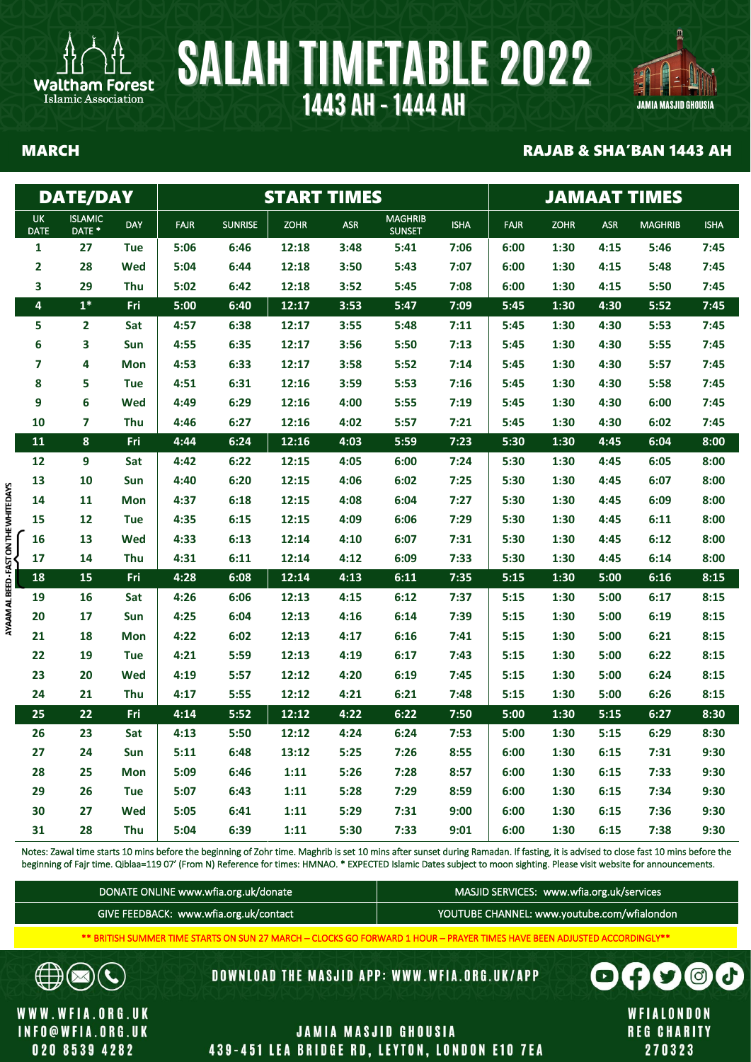



### MARCH RAJAB & SHA'BAN 1443 AH

|                                        |                          | <b>DATE/DAY</b>                     |            |             |                |             |            |                                 | <b>START TIMES</b> |             |             |            |                |             |  |  |
|----------------------------------------|--------------------------|-------------------------------------|------------|-------------|----------------|-------------|------------|---------------------------------|--------------------|-------------|-------------|------------|----------------|-------------|--|--|
|                                        | <b>UK</b><br><b>DATE</b> | <b>ISLAMIC</b><br>DATE <sup>*</sup> | <b>DAY</b> | <b>FAJR</b> | <b>SUNRISE</b> | <b>ZOHR</b> | <b>ASR</b> | <b>MAGHRIB</b><br><b>SUNSET</b> | <b>ISHA</b>        | <b>FAJR</b> | <b>ZOHR</b> | <b>ASR</b> | <b>MAGHRIB</b> | <b>ISHA</b> |  |  |
|                                        | $\mathbf{1}$             | 27                                  | <b>Tue</b> | 5:06        | 6:46           | 12:18       | 3:48       | 5:41                            | 7:06               | 6:00        | 1:30        | 4:15       | 5:46           | 7:45        |  |  |
|                                        | $\overline{\mathbf{2}}$  | 28                                  | Wed        | 5:04        | 6:44           | 12:18       | 3:50       | 5:43                            | 7:07               | 6:00        | 1:30        | 4:15       | 5:48           | 7:45        |  |  |
|                                        | 3                        | 29                                  | <b>Thu</b> | 5:02        | 6:42           | 12:18       | 3:52       | 5:45                            | 7:08               | 6:00        | 1:30        | 4:15       | 5:50           | 7:45        |  |  |
|                                        | $\overline{\mathbf{4}}$  | $1*$                                | Fri        | 5:00        | 6:40           | 12:17       | 3:53       | 5:47                            | 7:09               | 5:45        | 1:30        | 4:30       | 5:52           | 7:45        |  |  |
|                                        | 5                        | $\overline{2}$                      | Sat        | 4:57        | 6:38           | 12:17       | 3:55       | 5:48                            | 7:11               | 5:45        | 1:30        | 4:30       | 5:53           | 7:45        |  |  |
|                                        | 6                        | 3                                   | Sun        | 4:55        | 6:35           | 12:17       | 3:56       | 5:50                            | 7:13               | 5:45        | 1:30        | 4:30       | 5:55           | 7:45        |  |  |
|                                        | $\overline{\mathbf{z}}$  | 4                                   | <b>Mon</b> | 4:53        | 6:33           | 12:17       | 3:58       | 5:52                            | 7:14               | 5:45        | 1:30        | 4:30       | 5:57           | 7:45        |  |  |
|                                        | 8                        | 5                                   | <b>Tue</b> | 4:51        | 6:31           | 12:16       | 3:59       | 5:53                            | 7:16               | 5:45        | 1:30        | 4:30       | 5:58           | 7:45        |  |  |
|                                        | 9                        | 6                                   | Wed        | 4:49        | 6:29           | 12:16       | 4:00       | 5:55                            | 7:19               | 5:45        | 1:30        | 4:30       | 6:00           | 7:45        |  |  |
|                                        | 10                       | 7                                   | Thu        | 4:46        | 6:27           | 12:16       | 4:02       | 5:57                            | 7:21               | 5:45        | 1:30        | 4:30       | 6:02           | 7:45        |  |  |
|                                        | 11                       | 8                                   | Fri        | 4:44        | 6:24           | 12:16       | 4:03       | 5:59                            | 7:23               | 5:30        | 1:30        | 4:45       | 6:04           | 8:00        |  |  |
|                                        | 12                       | 9                                   | Sat        | 4:42        | 6:22           | 12:15       | 4:05       | 6:00                            | 7:24               | 5:30        | 1:30        | 4:45       | 6:05           | 8:00        |  |  |
|                                        | 13                       | 10                                  | Sun        | 4:40        | 6:20           | 12:15       | 4:06       | 6:02                            | 7:25               | 5:30        | 1:30        | 4:45       | 6:07           | 8:00        |  |  |
|                                        | 14                       | 11                                  | <b>Mon</b> | 4:37        | 6:18           | 12:15       | 4:08       | 6:04                            | 7:27               | 5:30        | 1:30        | 4:45       | 6:09           | 8:00        |  |  |
|                                        | 15                       | 12                                  | <b>Tue</b> | 4:35        | 6:15           | 12:15       | 4:09       | 6:06                            | 7:29               | 5:30        | 1:30        | 4:45       | 6:11           | 8:00        |  |  |
|                                        | 16                       | 13                                  | Wed        | 4:33        | 6:13           | 12:14       | 4:10       | 6:07                            | 7:31               | 5:30        | 1:30        | 4:45       | 6:12           | 8:00        |  |  |
|                                        | 17                       | 14                                  | Thu        | 4:31        | 6:11           | 12:14       | 4:12       | 6:09                            | 7:33               | 5:30        | 1:30        | 4:45       | 6:14           | 8:00        |  |  |
| AYAAM AL BEED - FAST ON THE WHITE DAYS | 18                       | 15                                  | Fri        | 4:28        | 6:08           | 12:14       | 4:13       | 6:11                            | 7:35               | 5:15        | 1:30        | 5:00       | 6:16           | 8:15        |  |  |
|                                        | 19                       | 16                                  | Sat        | 4:26        | 6:06           | 12:13       | 4:15       | 6:12                            | 7:37               | 5:15        | 1:30        | 5:00       | 6:17           | 8:15        |  |  |
|                                        | 20                       | 17                                  | Sun        | 4:25        | 6:04           | 12:13       | 4:16       | 6:14                            | 7:39               | 5:15        | 1:30        | 5:00       | 6:19           | 8:15        |  |  |
|                                        | 21                       | 18                                  | <b>Mon</b> | 4:22        | 6:02           | 12:13       | 4:17       | 6:16                            | 7:41               | 5:15        | 1:30        | 5:00       | 6:21           | 8:15        |  |  |
|                                        | 22                       | 19                                  | <b>Tue</b> | 4:21        | 5:59           | 12:13       | 4:19       | 6:17                            | 7:43               | 5:15        | 1:30        | 5:00       | 6:22           | 8:15        |  |  |
|                                        | 23                       | 20                                  | Wed        | 4:19        | 5:57           | 12:12       | 4:20       | 6:19                            | 7:45               | 5:15        | 1:30        | 5:00       | 6:24           | 8:15        |  |  |
|                                        | 24                       | 21                                  | Thu        | 4:17        | 5:55           | 12:12       | 4:21       | 6:21                            | 7:48               | 5:15        | 1:30        | 5:00       | 6:26           | 8:15        |  |  |
|                                        | 25                       | 22                                  | Fri        | 4:14        | 5:52           | 12:12       | 4:22       | 6:22                            | 7:50               | 5:00        | 1:30        | 5:15       | 6:27           | 8:30        |  |  |
|                                        | 26                       | 23                                  | Sat        | 4:13        | 5:50           | 12:12       | 4:24       | 6:24                            | 7:53               | 5:00        | 1:30        | 5:15       | 6:29           | 8:30        |  |  |
|                                        | 27                       | 24                                  | Sun        | 5:11        | 6:48           | 13:12       | 5:25       | 7:26                            | 8:55               | 6:00        | 1:30        | 6:15       | 7:31           | 9:30        |  |  |
|                                        | 28                       | 25                                  | <b>Mon</b> | 5:09        | 6:46           | 1:11        | 5:26       | 7:28                            | 8:57               | 6:00        | 1:30        | 6:15       | 7:33           | 9:30        |  |  |
|                                        | 29                       | 26                                  | <b>Tue</b> | 5:07        | 6:43           | 1:11        | 5:28       | 7:29                            | 8:59               | 6:00        | 1:30        | 6:15       | 7:34           | 9:30        |  |  |
|                                        | 30                       | 27                                  | Wed        | 5:05        | 6:41           | 1:11        | 5:29       | 7:31                            | 9:00               | 6:00        | 1:30        | 6:15       | 7:36           | 9:30        |  |  |
|                                        | 31                       | 28                                  | Thu        | 5:04        | 6:39           | 1:11        | 5:30       | 7:33                            | 9:01               | 6:00        | 1:30        | 6:15       | 7:38           | 9:30        |  |  |

Notes: Zawal time starts 10 mins before the beginning of Zohr time. Maghrib is set 10 mins after sunset during Ramadan. If fasting, it is advised to close fast 10 mins before the beginning of Fair time. Qiblaa=119 07' (From N) Reference for times: HMNAO. \* EXPECTED Islamic Dates subject to moon sighting. Please visit website for announcements.

| DONATE ONLINE www.wfia.org.uk/donate   | MASJID SERVICES: www.wfia.org.uk/services   |
|----------------------------------------|---------------------------------------------|
| GIVE FEEDBACK: www.wfia.org.uk/contact | YOUTUBE CHANNEL: www.youtube.com/wfialondon |

\*\* BRITISH SUMMER TIME STARTS ON SUN 27 MARCH – CLOCKS GO FORWARD 1 HOUR – PRAYER TIMES HAVE BEEN ADJUSTED ACCORDINGLY\*\*

**DOWNLOAD THE MASJID APP: WWW.WFIA.ORG.UK/APP** 

WFIALONDON **REG CHARITY** 270323

 $\mathbf{U}$ 

 $\blacksquare$ 

d.

 $\Theta$ 

WWW.WFIA.ORG.UK **INFO@WFIA.ORG.UK** 020 8539 4282

 $\boxtimes$ 

 $\mathbf{C}$ 

€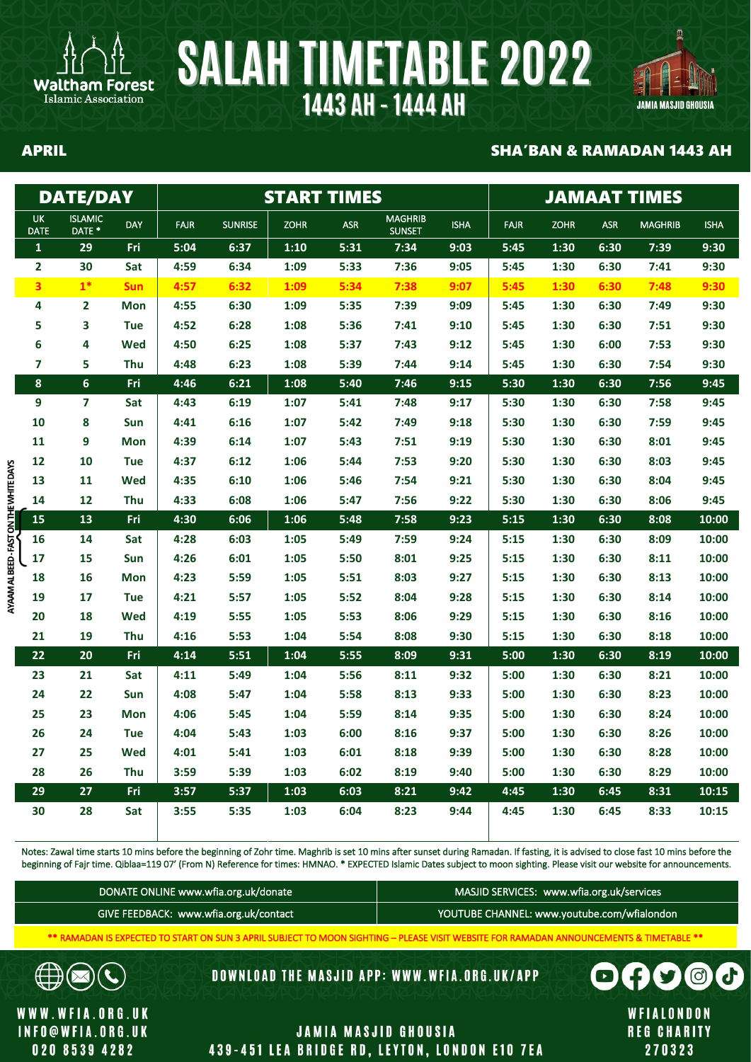



### APRIL SHA'BAN & RAMADAN 1443 AH

|                                      |                          | <b>DATE/DAY</b>          |            |             |                | <b>START TIMES</b> |            | <b>JAMAAT TIMES</b>             |             |             |             |            |                |             |
|--------------------------------------|--------------------------|--------------------------|------------|-------------|----------------|--------------------|------------|---------------------------------|-------------|-------------|-------------|------------|----------------|-------------|
|                                      | <b>UK</b><br><b>DATE</b> | <b>ISLAMIC</b><br>DATE * | <b>DAY</b> | <b>FAJR</b> | <b>SUNRISE</b> | <b>ZOHR</b>        | <b>ASR</b> | <b>MAGHRIB</b><br><b>SUNSET</b> | <b>ISHA</b> | <b>FAJR</b> | <b>ZOHR</b> | <b>ASR</b> | <b>MAGHRIB</b> | <b>ISHA</b> |
|                                      | $\mathbf{1}$             | 29                       | Fri        | 5:04        | 6:37           | 1:10               | 5:31       | 7:34                            | 9:03        | 5:45        | 1:30        | 6:30       | 7:39           | 9:30        |
|                                      | $\overline{2}$           | 30                       | Sat        | 4:59        | 6:34           | 1:09               | 5:33       | 7:36                            | 9:05        | 5:45        | 1:30        | 6:30       | 7:41           | 9:30        |
|                                      | $\overline{\mathbf{3}}$  | $1*$                     | <b>Sun</b> | 4:57        | 6:32           | 1:09               | 5:34       | 7:38                            | 9:07        | 5:45        | 1:30        | 6:30       | 7:48           | 9:30        |
|                                      | 4                        | $\overline{\mathbf{2}}$  | Mon        | 4:55        | 6:30           | 1:09               | 5:35       | 7:39                            | 9:09        | 5:45        | 1:30        | 6:30       | 7:49           | 9:30        |
|                                      | 5                        | 3                        | <b>Tue</b> | 4:52        | 6:28           | 1:08               | 5:36       | 7:41                            | 9:10        | 5:45        | 1:30        | 6:30       | 7:51           | 9:30        |
|                                      | 6                        | 4                        | Wed        | 4:50        | 6:25           | 1:08               | 5:37       | 7:43                            | 9:12        | 5:45        | 1:30        | 6:00       | 7:53           | 9:30        |
|                                      | $\overline{7}$           | 5                        | Thu        | 4:48        | 6:23           | 1:08               | 5:39       | 7:44                            | 9:14        | 5:45        | 1:30        | 6:30       | 7:54           | 9:30        |
|                                      | 8                        | $\boldsymbol{6}$         | Fri        | 4:46        | 6:21           | 1:08               | 5:40       | 7:46                            | 9:15        | 5:30        | 1:30        | 6:30       | 7:56           | 9:45        |
|                                      | 9                        | $\overline{\mathbf{z}}$  | Sat        | 4:43        | 6:19           | 1:07               | 5:41       | 7:48                            | 9:17        | 5:30        | 1:30        | 6:30       | 7:58           | 9:45        |
|                                      | 10                       | 8                        | Sun        | 4:41        | 6:16           | 1:07               | 5:42       | 7:49                            | 9:18        | 5:30        | 1:30        | 6:30       | 7:59           | 9:45        |
|                                      | 11                       | 9                        | <b>Mon</b> | 4:39        | 6:14           | 1:07               | 5:43       | 7:51                            | 9:19        | 5:30        | 1:30        | 6:30       | 8:01           | 9:45        |
|                                      | 12                       | 10                       | <b>Tue</b> | 4:37        | 6:12           | 1:06               | 5:44       | 7:53                            | 9:20        | 5:30        | 1:30        | 6:30       | 8:03           | 9:45        |
|                                      | 13                       | 11                       | <b>Wed</b> | 4:35        | 6:10           | 1:06               | 5:46       | 7:54                            | 9:21        | 5:30        | 1:30        | 6:30       | 8:04           | 9:45        |
|                                      | 14                       | 12                       | Thu        | 4:33        | 6:08           | 1:06               | 5:47       | 7:56                            | 9:22        | 5:30        | 1:30        | 6:30       | 8:06           | 9:45        |
| AYAAM AL BEED-FAST ON THE WHITE DAYS | 15                       | 13                       | Fri        | 4:30        | 6:06           | 1:06               | 5:48       | 7:58                            | 9:23        | 5:15        | 1:30        | 6:30       | 8:08           | 10:00       |
|                                      | 16                       | 14                       | Sat        | 4:28        | 6:03           | 1:05               | 5:49       | 7:59                            | 9:24        | 5:15        | 1:30        | 6:30       | 8:09           | 10:00       |
|                                      | 17                       | 15                       | Sun        | 4:26        | 6:01           | 1:05               | 5:50       | 8:01                            | 9:25        | 5:15        | 1:30        | 6:30       | 8:11           | 10:00       |
|                                      | 18                       | 16                       | <b>Mon</b> | 4:23        | 5:59           | 1:05               | 5:51       | 8:03                            | 9:27        | 5:15        | 1:30        | 6:30       | 8:13           | 10:00       |
|                                      | 19                       | 17                       | <b>Tue</b> | 4:21        | 5:57           | 1:05               | 5:52       | 8:04                            | 9:28        | 5:15        | 1:30        | 6:30       | 8:14           | 10:00       |
|                                      | 20                       | 18                       | <b>Wed</b> | 4:19        | 5:55           | 1:05               | 5:53       | 8:06                            | 9:29        | 5:15        | 1:30        | 6:30       | 8:16           | 10:00       |
|                                      | 21                       | 19                       | Thu        | 4:16        | 5:53           | 1:04               | 5:54       | 8:08                            | 9:30        | 5:15        | 1:30        | 6:30       | 8:18           | 10:00       |
|                                      | 22                       | 20                       | Fri        | 4:14        | 5:51           | 1:04               | 5:55       | 8:09                            | 9:31        | 5:00        | 1:30        | 6:30       | 8:19           | 10:00       |
|                                      | 23                       | 21                       | Sat        | 4:11        | 5:49           | 1:04               | 5:56       | 8:11                            | 9:32        | 5:00        | 1:30        | 6:30       | 8:21           | 10:00       |
|                                      | 24                       | 22                       | Sun        | 4:08        | 5:47           | 1:04               | 5:58       | 8:13                            | 9:33        | 5:00        | 1:30        | 6:30       | 8:23           | 10:00       |
|                                      | 25                       | 23                       | <b>Mon</b> | 4:06        | 5:45           | 1:04               | 5:59       | 8:14                            | 9:35        | 5:00        | 1:30        | 6:30       | 8:24           | 10:00       |
|                                      | 26                       | 24                       | <b>Tue</b> | 4:04        | 5:43           | 1:03               | 6:00       | 8:16                            | 9:37        | 5:00        | 1:30        | 6:30       | 8:26           | 10:00       |
|                                      | 27                       | 25                       | Wed        | 4:01        | 5:41           | 1:03               | 6:01       | 8:18                            | 9:39        | 5:00        | 1:30        | 6:30       | 8:28           | 10:00       |
|                                      | 28                       | 26                       | <b>Thu</b> | 3:59        | 5:39           | 1:03               | 6:02       | 8:19                            | 9:40        | 5:00        | 1:30        | 6:30       | 8:29           | 10:00       |
|                                      | 29                       | 27                       | Fri        | 3:57        | 5:37           | 1:03               | 6:03       | 8:21                            | 9:42        | 4:45        | 1:30        | 6:45       | 8:31           | 10:15       |
|                                      | 30                       | 28                       | Sat        | 3:55        | 5:35           | 1:03               | 6:04       | 8:23                            | 9:44        | 4:45        | 1:30        | 6:45       | 8:33           | 10:15       |

Notes: Zawal time starts 10 mins before the beginning of Zohr time. Maghrib is set 10 mins after sunset during Ramadan. If fasting, it is advised to close fast 10 mins before the beginning of Fajr time. Qiblaa=119 07' (From N) Reference for times: HMNAO. \* EXPECTED Islamic Dates subject to moon sighting. Please visit our website for announcements.

| DONATE ONLINE www.wfia.org.uk/donate   | MASJID SERVICES: www.wfia.org.uk/services   |
|----------------------------------------|---------------------------------------------|
| GIVE FEEDBACK: www.wfia.org.uk/contact | YOUTUBE CHANNEL: www.youtube.com/wfialondon |

\*\* RAMADAN IS EXPECTED TO START ON SUN 3 APRIL SUBJECT TO MOON SIGHTING – PLEASE VISIT WEBSITE FOR RAMADAN ANNOUNCEMENTS & TIMETABLE \*\*

**DOWNLOAD THE MASJID APP: WWW.WFIA.ORG.UK/APP** 

WWW.WFIA.ORG.UK **INFO@WFIA.ORG.UK** 020 8539 4282

 $\times$ 

L

∰

## **JAMIA MASJID GHOUSIA** 439-451 LEA BRIDGE RD, LEYTON, LONDON E10 7EA

WFIALONDON **REG CHARITY** 270323

 $\bullet$ 

 $\Box$ 

€

d<sup>1</sup>

 $\Theta$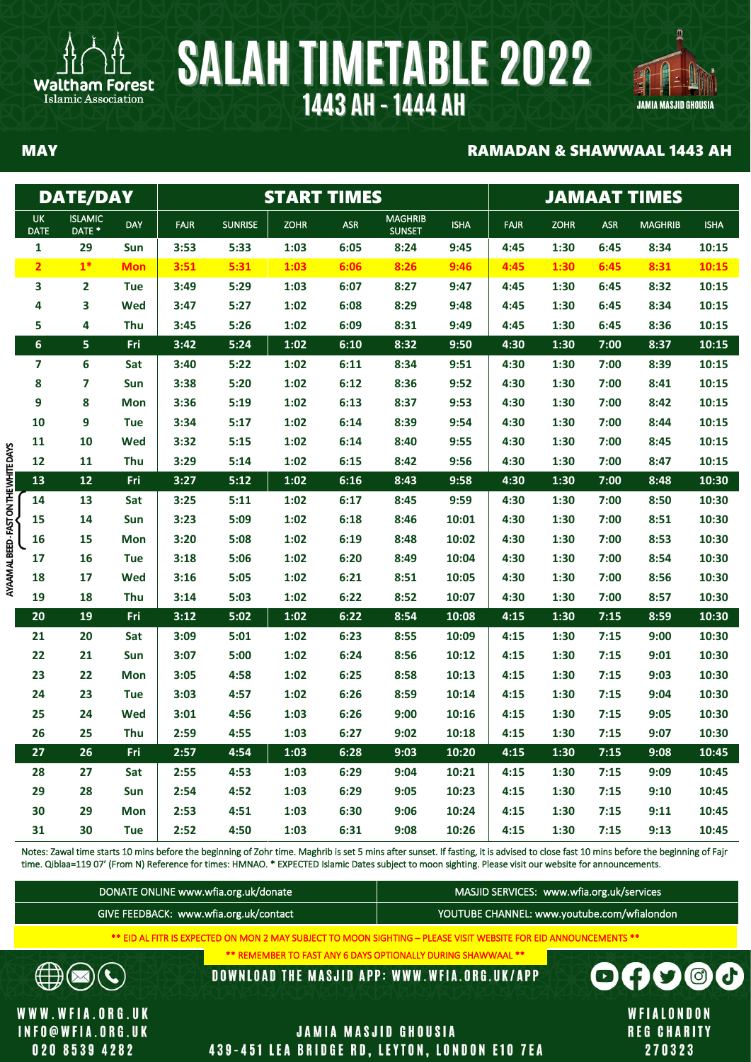



### MAY RAMADAN & SHAWWAAL 1443 AH

|                                      |                          | <b>DATE/DAY</b>          |            |             |                | <b>START TIMES</b> |            | <b>JAMAAT TIMES</b>             |             |             |             |            |                |             |
|--------------------------------------|--------------------------|--------------------------|------------|-------------|----------------|--------------------|------------|---------------------------------|-------------|-------------|-------------|------------|----------------|-------------|
|                                      | <b>UK</b><br><b>DATE</b> | <b>ISLAMIC</b><br>DATE * | <b>DAY</b> | <b>FAJR</b> | <b>SUNRISE</b> | <b>ZOHR</b>        | <b>ASR</b> | <b>MAGHRIB</b><br><b>SUNSET</b> | <b>ISHA</b> | <b>FAJR</b> | <b>ZOHR</b> | <b>ASR</b> | <b>MAGHRIB</b> | <b>ISHA</b> |
|                                      | $\mathbf{1}$             | 29                       | Sun        | 3:53        | 5:33           | 1:03               | 6:05       | 8:24                            | 9:45        | 4:45        | 1:30        | 6:45       | 8:34           | 10:15       |
|                                      | $\overline{\mathbf{c}}$  | $1*$                     | <b>Mon</b> | 3:51        | 5:31           | 1:03               | 6:06       | 8:26                            | 9:46        | 4:45        | 1:30        | 6:45       | 8:31           | 10:15       |
|                                      | 3                        | 2                        | <b>Tue</b> | 3:49        | 5:29           | 1:03               | 6:07       | 8:27                            | 9:47        | 4:45        | 1:30        | 6:45       | 8:32           | 10:15       |
|                                      | 4                        | 3                        | <b>Wed</b> | 3:47        | 5:27           | 1:02               | 6:08       | 8:29                            | 9:48        | 4:45        | 1:30        | 6:45       | 8:34           | 10:15       |
|                                      | 5                        | 4                        | Thu        | 3:45        | 5:26           | 1:02               | 6:09       | 8:31                            | 9:49        | 4:45        | 1:30        | 6:45       | 8:36           | 10:15       |
|                                      | $6\phantom{1}$           | 5                        | Fri        | 3:42        | 5:24           | 1:02               | 6:10       | 8:32                            | 9:50        | 4:30        | 1:30        | 7:00       | 8:37           | 10:15       |
|                                      | 7                        | 6                        | Sat        | 3:40        | 5:22           | 1:02               | 6:11       | 8:34                            | 9:51        | 4:30        | 1:30        | 7:00       | 8:39           | 10:15       |
|                                      | 8                        | $\overline{\mathbf{z}}$  | Sun        | 3:38        | 5:20           | 1:02               | 6:12       | 8:36                            | 9:52        | 4:30        | 1:30        | 7:00       | 8:41           | 10:15       |
|                                      | 9                        | 8                        | Mon        | 3:36        | 5:19           | 1:02               | 6:13       | 8:37                            | 9:53        | 4:30        | 1:30        | 7:00       | 8:42           | 10:15       |
|                                      | 10                       | 9                        | <b>Tue</b> | 3:34        | 5:17           | 1:02               | 6:14       | 8:39                            | 9:54        | 4:30        | 1:30        | 7:00       | 8:44           | 10:15       |
|                                      | 11                       | 10                       | Wed        | 3:32        | 5:15           | 1:02               | 6:14       | 8:40                            | 9:55        | 4:30        | 1:30        | 7:00       | 8:45           | 10:15       |
| AYAAM AL BEED-FAST ON THE WHITE DAYS | 12                       | 11                       | Thu        | 3:29        | 5:14           | 1:02               | 6:15       | 8:42                            | 9:56        | 4:30        | 1:30        | 7:00       | 8:47           | 10:15       |
|                                      | 13                       | $12\,$                   | Fri        | 3:27        | 5:12           | 1:02               | 6:16       | 8:43                            | 9:58        | 4:30        | 1:30        | 7:00       | 8:48           | 10:30       |
|                                      | 14                       | 13                       | Sat        | 3:25        | 5:11           | 1:02               | 6:17       | 8:45                            | 9:59        | 4:30        | 1:30        | 7:00       | 8:50           | 10:30       |
|                                      | 15                       | 14                       | Sun        | 3:23        | 5:09           | 1:02               | 6:18       | 8:46                            | 10:01       | 4:30        | 1:30        | 7:00       | 8:51           | 10:30       |
|                                      | 16                       | 15                       | <b>Mon</b> | 3:20        | 5:08           | 1:02               | 6:19       | 8:48                            | 10:02       | 4:30        | 1:30        | 7:00       | 8:53           | 10:30       |
|                                      | 17                       | 16                       | <b>Tue</b> | 3:18        | 5:06           | 1:02               | 6:20       | 8:49                            | 10:04       | 4:30        | 1:30        | 7:00       | 8:54           | 10:30       |
|                                      | 18                       | 17                       | Wed        | 3:16        | 5:05           | 1:02               | 6:21       | 8:51                            | 10:05       | 4:30        | 1:30        | 7:00       | 8:56           | 10:30       |
|                                      | 19                       | 18                       | Thu        | 3:14        | 5:03           | 1:02               | 6:22       | 8:52                            | 10:07       | 4:30        | 1:30        | 7:00       | 8:57           | 10:30       |
|                                      | 20                       | 19                       | Fri        | 3:12        | 5:02           | 1:02               | 6:22       | 8:54                            | 10:08       | 4:15        | 1:30        | 7:15       | 8:59           | 10:30       |
|                                      | 21                       | 20                       | Sat        | 3:09        | 5:01           | 1:02               | 6:23       | 8:55                            | 10:09       | 4:15        | 1:30        | 7:15       | 9:00           | 10:30       |
|                                      | 22                       | 21                       | Sun        | 3:07        | 5:00           | 1:02               | 6:24       | 8:56                            | 10:12       | 4:15        | 1:30        | 7:15       | 9:01           | 10:30       |
|                                      | 23                       | 22                       | <b>Mon</b> | 3:05        | 4:58           | 1:02               | 6:25       | 8:58                            | 10:13       | 4:15        | 1:30        | 7:15       | 9:03           | 10:30       |
|                                      | 24                       | 23                       | <b>Tue</b> | 3:03        | 4:57           | 1:02               | 6:26       | 8:59                            | 10:14       | 4:15        | 1:30        | 7:15       | 9:04           | 10:30       |
|                                      | 25                       | 24                       | Wed        | 3:01        | 4:56           | 1:03               | 6:26       | 9:00                            | 10:16       | 4:15        | 1:30        | 7:15       | 9:05           | 10:30       |
|                                      | 26                       | 25                       | Thu        | 2:59        | 4:55           | 1:03               | 6:27       | 9:02                            | 10:18       | 4:15        | 1:30        | 7:15       | 9:07           | 10:30       |
|                                      | 27                       | 26                       | Fri        | 2:57        | 4:54           | 1:03               | 6:28       | 9:03                            | 10:20       | 4:15        | 1:30        | 7:15       | 9:08           | 10:45       |
|                                      | 28                       | 27                       | Sat        | 2:55        | 4:53           | 1:03               | 6:29       | 9:04                            | 10:21       | 4:15        | 1:30        | 7:15       | 9:09           | 10:45       |
|                                      | 29                       | 28                       | Sun        | 2:54        | 4:52           | 1:03               | 6:29       | 9:05                            | 10:23       | 4:15        | 1:30        | 7:15       | 9:10           | 10:45       |
|                                      | 30                       | 29                       | <b>Mon</b> | 2:53        | 4:51           | 1:03               | 6:30       | 9:06                            | 10:24       | 4:15        | 1:30        | 7:15       | 9:11           | 10:45       |
|                                      | 31                       | 30                       | <b>Tue</b> | 2:52        | 4:50           | 1:03               | 6:31       | 9:08                            | 10:26       | 4:15        | 1:30        | 7:15       | 9:13           | 10:45       |

Notes: Zawal time starts 10 mins before the beginning of Zohr time. Maghrib is set 5 mins after sunset. If fasting, it is advised to close fast 10 mins before the beginning of Fajr time. Qiblaa=119 07' (From N) Reference for times: HMNAO. \* EXPECTED Islamic Dates subject to moon sighting. Please visit our website for announcements.

| DONATE ONLINE www.wfia.org.uk/donate   | MASJID SERVICES: www.wfia.org.uk/services   |
|----------------------------------------|---------------------------------------------|
| GIVE FEEDBACK: www.wfia.org.uk/contact | YOUTUBE CHANNEL: www.youtube.com/wfialondon |

\*\* EID AL FITR IS EXPECTED ON MON 2 MAY SUBJECT TO MOON SIGHTING – PLEASE VISIT WEBSITE FOR EID ANNOUNCEMENTS \*\*

\*\* REMEMBER TO FAST ANY 6 DAYS OPTIONALLY DURING SHAWWAAL \*\*

**DOWNLOAD THE MASJID APP: WWW.WFIA.ORG.UK/APP** 

WWW.WFIA.ORG.UK **INFO@WFIA.ORG.UK** 020 8539 4282

 $\mathbb{R}$ 

 $\mathbf{C}$ 

**€** 

Islamic Association

## **JAMIA MASJID GHOUSIA** 439-451 LEA BRIDGE RD, LEYTON, LONDON E10 7EA

WFIALONDON **REG CHARITY** 270323

 $f(y)$ 

 $\Box$ 

 $\boldsymbol{\theta}$ 

 $\odot$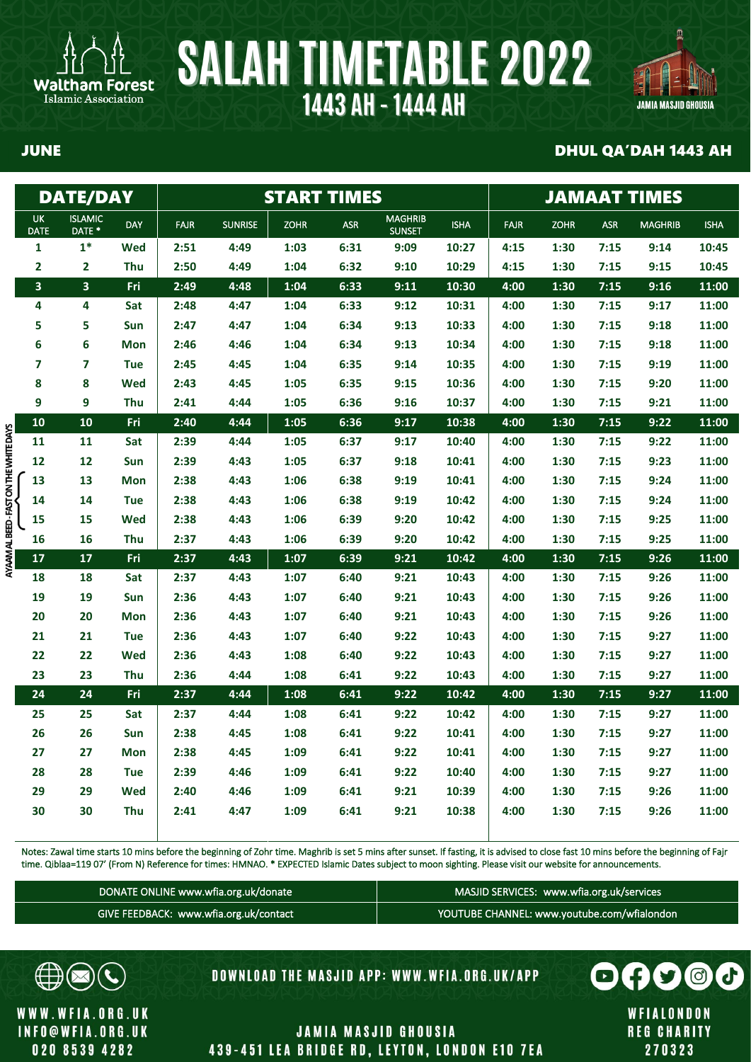



### JUNE DHUL QA'DAH 1443 AH

|                                        |                          | <b>DATE/DAY</b>          |            |             |                |             | <b>START TIMES</b> | <b>JAMAAT TIMES</b>             |             |             |             |            |                |             |
|----------------------------------------|--------------------------|--------------------------|------------|-------------|----------------|-------------|--------------------|---------------------------------|-------------|-------------|-------------|------------|----------------|-------------|
|                                        | <b>UK</b><br><b>DATE</b> | <b>ISLAMIC</b><br>DATE * | DAY        | <b>FAJR</b> | <b>SUNRISE</b> | <b>ZOHR</b> | <b>ASR</b>         | <b>MAGHRIB</b><br><b>SUNSET</b> | <b>ISHA</b> | <b>FAJR</b> | <b>ZOHR</b> | <b>ASR</b> | <b>MAGHRIB</b> | <b>ISHA</b> |
|                                        | $\mathbf{1}$             | $1*$                     | Wed        | 2:51        | 4:49           | 1:03        | 6:31               | 9:09                            | 10:27       | 4:15        | 1:30        | 7:15       | 9:14           | 10:45       |
|                                        | $\overline{\mathbf{2}}$  | $\mathbf{2}$             | Thu        | 2:50        | 4:49           | 1:04        | 6:32               | 9:10                            | 10:29       | 4:15        | 1:30        | 7:15       | 9:15           | 10:45       |
|                                        | 3                        | 3                        | Fri        | 2:49        | 4:48           | 1:04        | 6:33               | 9:11                            | 10:30       | 4:00        | 1:30        | 7:15       | 9:16           | 11:00       |
|                                        | 4                        | 4                        | Sat        | 2:48        | 4:47           | 1:04        | 6:33               | 9:12                            | 10:31       | 4:00        | 1:30        | 7:15       | 9:17           | 11:00       |
|                                        | 5                        | 5                        | Sun        | 2:47        | 4:47           | 1:04        | 6:34               | 9:13                            | 10:33       | 4:00        | 1:30        | 7:15       | 9:18           | 11:00       |
|                                        | 6                        | 6                        | <b>Mon</b> | 2:46        | 4:46           | 1:04        | 6:34               | 9:13                            | 10:34       | 4:00        | 1:30        | 7:15       | 9:18           | 11:00       |
|                                        | 7                        | 7                        | <b>Tue</b> | 2:45        | 4:45           | 1:04        | 6:35               | 9:14                            | 10:35       | 4:00        | 1:30        | 7:15       | 9:19           | 11:00       |
|                                        | 8                        | 8                        | Wed        | 2:43        | 4:45           | 1:05        | 6:35               | 9:15                            | 10:36       | 4:00        | 1:30        | 7:15       | 9:20           | 11:00       |
|                                        | 9                        | 9                        | Thu        | 2:41        | 4:44           | 1:05        | 6:36               | 9:16                            | 10:37       | 4:00        | 1:30        | 7:15       | 9:21           | 11:00       |
|                                        | 10                       | 10                       | Fri        | 2:40        | 4:44           | 1:05        | 6:36               | 9:17                            | 10:38       | 4:00        | 1:30        | 7:15       | 9:22           | 11:00       |
|                                        | 11                       | 11                       | Sat        | 2:39        | 4:44           | 1:05        | 6:37               | 9:17                            | 10:40       | 4:00        | 1:30        | 7:15       | 9:22           | 11:00       |
|                                        | 12                       | 12                       | Sun        | 2:39        | 4:43           | 1:05        | 6:37               | 9:18                            | 10:41       | 4:00        | 1:30        | 7:15       | 9:23           | 11:00       |
|                                        | 13                       | 13                       | Mon        | 2:38        | 4:43           | 1:06        | 6:38               | 9:19                            | 10:41       | 4:00        | 1:30        | 7:15       | 9:24           | 11:00       |
|                                        | 14                       | 14                       | <b>Tue</b> | 2:38        | 4:43           | 1:06        | 6:38               | 9:19                            | 10:42       | 4:00        | 1:30        | 7:15       | 9:24           | 11:00       |
|                                        | 15                       | 15                       | Wed        | 2:38        | 4:43           | 1:06        | 6:39               | 9:20                            | 10:42       | 4:00        | 1:30        | 7:15       | 9:25           | 11:00       |
|                                        | 16                       | 16                       | Thu        | 2:37        | 4:43           | 1:06        | 6:39               | 9:20                            | 10:42       | 4:00        | 1:30        | 7:15       | 9:25           | 11:00       |
| AYAAM AL BEED - FAST ON THE WHITE DAYS | 17                       | 17                       | Fri        | 2:37        | 4:43           | 1:07        | 6:39               | 9:21                            | 10:42       | 4:00        | 1:30        | 7:15       | 9:26           | 11:00       |
|                                        | 18                       | 18                       | Sat        | 2:37        | 4:43           | 1:07        | 6:40               | 9:21                            | 10:43       | 4:00        | 1:30        | 7:15       | 9:26           | 11:00       |
|                                        | 19                       | 19                       | Sun        | 2:36        | 4:43           | 1:07        | 6:40               | 9:21                            | 10:43       | 4:00        | 1:30        | 7:15       | 9:26           | 11:00       |
|                                        | 20                       | 20                       | <b>Mon</b> | 2:36        | 4:43           | 1:07        | 6:40               | 9:21                            | 10:43       | 4:00        | 1:30        | 7:15       | 9:26           | 11:00       |
|                                        | 21                       | 21                       | <b>Tue</b> | 2:36        | 4:43           | 1:07        | 6:40               | 9:22                            | 10:43       | 4:00        | 1:30        | 7:15       | 9:27           | 11:00       |
|                                        | 22                       | 22                       | Wed        | 2:36        | 4:43           | 1:08        | 6:40               | 9:22                            | 10:43       | 4:00        | 1:30        | 7:15       | 9:27           | 11:00       |
|                                        | 23                       | 23                       | Thu        | 2:36        | 4:44           | 1:08        | 6:41               | 9:22                            | 10:43       | 4:00        | 1:30        | 7:15       | 9:27           | 11:00       |
|                                        | 24                       | 24                       | Fri        | 2:37        | 4:44           | 1:08        | 6:41               | 9:22                            | 10:42       | 4:00        | 1:30        | 7:15       | 9:27           | 11:00       |
|                                        | 25                       | 25                       | Sat        | 2:37        | 4:44           | 1:08        | 6:41               | 9:22                            | 10:42       | 4:00        | 1:30        | 7:15       | 9:27           | 11:00       |
|                                        | 26                       | 26                       | Sun        | 2:38        | 4:45           | 1:08        | 6:41               | 9:22                            | 10:41       | 4:00        | 1:30        | 7:15       | 9:27           | 11:00       |
|                                        | 27                       | 27                       | Mon        | 2:38        | 4:45           | 1:09        | 6:41               | 9:22                            | 10:41       | 4:00        | 1:30        | 7:15       | 9:27           | 11:00       |
|                                        | 28                       | 28                       | <b>Tue</b> | 2:39        | 4:46           | 1:09        | 6:41               | 9:22                            | 10:40       | 4:00        | 1:30        | 7:15       | 9:27           | 11:00       |
|                                        | 29                       | 29                       | Wed        | 2:40        | 4:46           | 1:09        | 6:41               | 9:21                            | 10:39       | 4:00        | 1:30        | 7:15       | 9:26           | 11:00       |
|                                        | 30                       | 30                       | Thu        | 2:41        | 4:47           | 1:09        | 6:41               | 9:21                            | 10:38       | 4:00        | 1:30        | 7:15       | 9:26           | 11:00       |
|                                        |                          |                          |            |             |                |             |                    |                                 |             |             |             |            |                |             |

Notes: Zawal time starts 10 mins before the beginning of Zohr time. Maghrib is set 5 mins after sunset. If fasting, it is advised to close fast 10 mins before the beginning of Fajr time. Qiblaa=119 07' (From N) Reference for times: HMNAO. \* EXPECTED Islamic Dates subject to moon sighting. Please visit our website for announcements.

| DONATE ONLINE www.wfia.org.uk/donate \ | MASJID SERVICES: www.wfia.org.uk/services   |
|----------------------------------------|---------------------------------------------|
| GIVE FEEDBACK: www.wfia.org.uk/contact | YOUTUBE CHANNEL: www.youtube.com/wfialondon |



WWW.WFIA.ORG.UK **INFO@WFIA.ORG.UK** 020 8539 4282

DOWNLOAD THE MASJID APP: WWW.WFIA.ORG.UK/APP

WFIALONDON **REG CHARITY** 270323

 $\bigoplus$ 

 $\bigodot$ 

d.

 $\odot$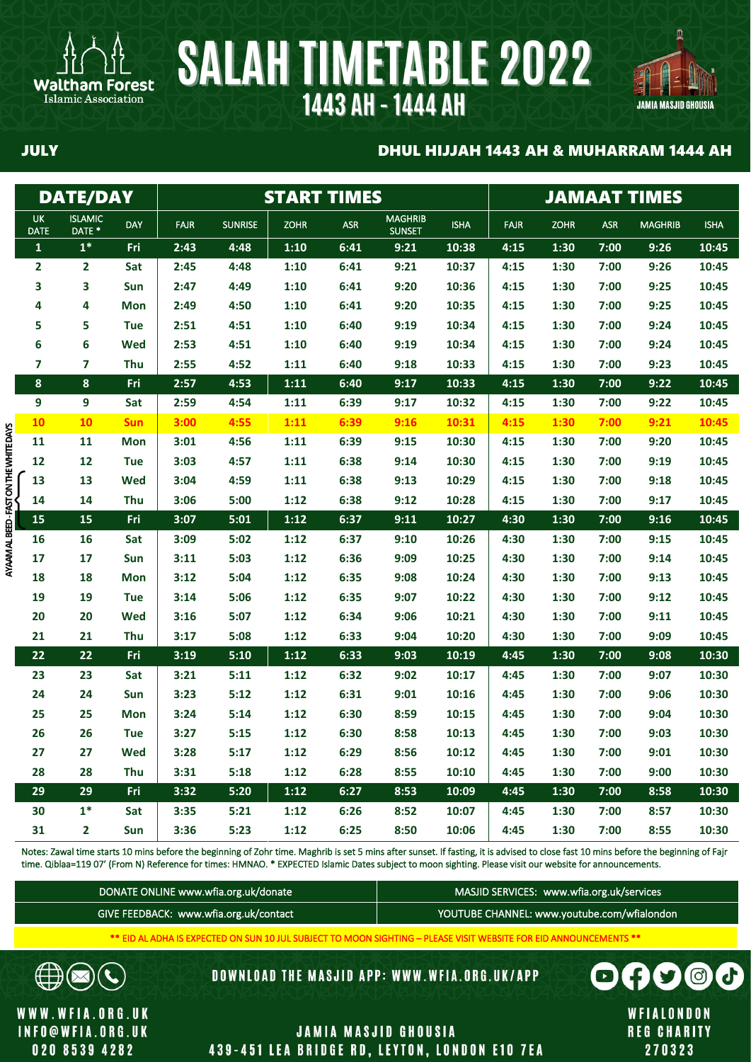



### JULY DHUL HIJJAH 1443 AH & MUHARRAM 1444 AH

|                    | <b>DATE/DAY</b>                     |            |             |                |             | <b>START TIMES</b> |                                 |             |             | <b>JAMAAT TIMES</b> |            |                |             |  |  |
|--------------------|-------------------------------------|------------|-------------|----------------|-------------|--------------------|---------------------------------|-------------|-------------|---------------------|------------|----------------|-------------|--|--|
| UK.<br><b>DATE</b> | <b>ISLAMIC</b><br>DATE <sup>*</sup> | <b>DAY</b> | <b>FAJR</b> | <b>SUNRISE</b> | <b>ZOHR</b> | <b>ASR</b>         | <b>MAGHRIB</b><br><b>SUNSET</b> | <b>ISHA</b> | <b>FAJR</b> | <b>ZOHR</b>         | <b>ASR</b> | <b>MAGHRIB</b> | <b>ISHA</b> |  |  |
| $\mathbf{1}$       | $\mathbf{1}^*$                      | Fri        | 2:43        | 4:48           | 1:10        | 6:41               | 9:21                            | 10:38       | 4:15        | 1:30                | 7:00       | 9:26           | 10:45       |  |  |
| 2                  | $\mathbf{2}$                        | Sat        | 2:45        | 4:48           | 1:10        | 6:41               | 9:21                            | 10:37       | 4:15        | 1:30                | 7:00       | 9:26           | 10:45       |  |  |
| 3                  | 3                                   | Sun        | 2:47        | 4:49           | 1:10        | 6:41               | 9:20                            | 10:36       | 4:15        | 1:30                | 7:00       | 9:25           | 10:45       |  |  |
| 4                  | 4                                   | <b>Mon</b> | 2:49        | 4:50           | 1:10        | 6:41               | 9:20                            | 10:35       | 4:15        | 1:30                | 7:00       | 9:25           | 10:45       |  |  |
| 5                  | 5                                   | <b>Tue</b> | 2:51        | 4:51           | 1:10        | 6:40               | 9:19                            | 10:34       | 4:15        | 1:30                | 7:00       | 9:24           | 10:45       |  |  |
| 6                  | 6                                   | Wed        | 2:53        | 4:51           | 1:10        | 6:40               | 9:19                            | 10:34       | 4:15        | 1:30                | 7:00       | 9:24           | 10:45       |  |  |
| 7                  | $\overline{7}$                      | Thu        | 2:55        | 4:52           | 1:11        | 6:40               | 9:18                            | 10:33       | 4:15        | 1:30                | 7:00       | 9:23           | 10:45       |  |  |
| 8                  | $\boldsymbol{8}$                    | Fri        | 2:57        | 4:53           | 1:11        | 6:40               | 9:17                            | 10:33       | 4:15        | 1:30                | 7:00       | 9:22           | 10:45       |  |  |
| 9                  | 9                                   | Sat        | 2:59        | 4:54           | 1:11        | 6:39               | 9:17                            | 10:32       | 4:15        | 1:30                | 7:00       | 9:22           | 10:45       |  |  |
| 10                 | 10                                  | <b>Sun</b> | 3:00        | 4:55           | 1:11        | 6:39               | 9:16                            | 10:31       | 4:15        | 1:30                | 7:00       | 9:21           | 10:45       |  |  |
| 11                 | 11                                  | <b>Mon</b> | 3:01        | 4:56           | 1:11        | 6:39               | 9:15                            | 10:30       | 4:15        | 1:30                | 7:00       | 9:20           | 10:45       |  |  |
| 12                 | 12                                  | <b>Tue</b> | 3:03        | 4:57           | 1:11        | 6:38               | 9:14                            | 10:30       | 4:15        | 1:30                | 7:00       | 9:19           | 10:45       |  |  |
| 13                 | 13                                  | Wed        | 3:04        | 4:59           | 1:11        | 6:38               | 9:13                            | 10:29       | 4:15        | 1:30                | 7:00       | 9:18           | 10:45       |  |  |
| 14                 | 14                                  | Thu        | 3:06        | 5:00           | 1:12        | 6:38               | 9:12                            | 10:28       | 4:15        | 1:30                | 7:00       | 9:17           | 10:45       |  |  |
| 15                 | 15                                  | Fri        | 3:07        | 5:01           | 1:12        | 6:37               | 9:11                            | 10:27       | 4:30        | 1:30                | 7:00       | 9:16           | 10:45       |  |  |
| 16                 | 16                                  | Sat        | 3:09        | 5:02           | 1:12        | 6:37               | 9:10                            | 10:26       | 4:30        | 1:30                | 7:00       | 9:15           | 10:45       |  |  |
| 17                 | 17                                  | Sun        | 3:11        | 5:03           | 1:12        | 6:36               | 9:09                            | 10:25       | 4:30        | 1:30                | 7:00       | 9:14           | 10:45       |  |  |
| 18                 | 18                                  | <b>Mon</b> | 3:12        | 5:04           | 1:12        | 6:35               | 9:08                            | 10:24       | 4:30        | 1:30                | 7:00       | 9:13           | 10:45       |  |  |
| 19                 | 19                                  | <b>Tue</b> | 3:14        | 5:06           | 1:12        | 6:35               | 9:07                            | 10:22       | 4:30        | 1:30                | 7:00       | 9:12           | 10:45       |  |  |
| 20                 | 20                                  | Wed        | 3:16        | 5:07           | 1:12        | 6:34               | 9:06                            | 10:21       | 4:30        | 1:30                | 7:00       | 9:11           | 10:45       |  |  |
| 21                 | 21                                  | Thu        | 3:17        | 5:08           | 1:12        | 6:33               | 9:04                            | 10:20       | 4:30        | 1:30                | 7:00       | 9:09           | 10:45       |  |  |
| 22                 | 22                                  | Fri        | 3:19        | 5:10           | 1:12        | 6:33               | 9:03                            | 10:19       | 4:45        | 1:30                | 7:00       | 9:08           | 10:30       |  |  |
| 23                 | 23                                  | Sat        | 3:21        | 5:11           | 1:12        | 6:32               | 9:02                            | 10:17       | 4:45        | 1:30                | 7:00       | 9:07           | 10:30       |  |  |
| 24                 | 24                                  | Sun        | 3:23        | 5:12           | 1:12        | 6:31               | 9:01                            | 10:16       | 4:45        | 1:30                | 7:00       | 9:06           | 10:30       |  |  |
| 25                 | 25                                  | <b>Mon</b> | 3:24        | 5:14           | 1:12        | 6:30               | 8:59                            | 10:15       | 4:45        | 1:30                | 7:00       | 9:04           | 10:30       |  |  |
| 26                 | 26                                  | <b>Tue</b> | 3:27        | 5:15           | 1:12        | 6:30               | 8:58                            | 10:13       | 4:45        | 1:30                | 7:00       | 9:03           | 10:30       |  |  |
| 27                 | 27                                  | Wed        | 3:28        | 5:17           | 1:12        | 6:29               | 8:56                            | 10:12       | 4:45        | 1:30                | 7:00       | 9:01           | 10:30       |  |  |
| 28                 | 28                                  | Thu        | 3:31        | 5:18           | 1:12        | 6:28               | 8:55                            | 10:10       | 4:45        | 1:30                | 7:00       | 9:00           | 10:30       |  |  |
| 29                 | 29                                  | <b>Fri</b> | 3:32        | 5:20           | 1:12        | 6:27               | 8:53                            | 10:09       | 4:45        | 1:30                | 7:00       | 8:58           | 10:30       |  |  |
| 30                 | $1*$                                | Sat        | 3:35        | 5:21           | 1:12        | 6:26               | 8:52                            | 10:07       | 4:45        | 1:30                | 7:00       | 8:57           | 10:30       |  |  |
| 31                 | $\overline{\mathbf{2}}$             | Sun        | 3:36        | 5:23           | 1:12        | 6:25               | 8:50                            | 10:06       | 4:45        | 1:30                | 7:00       | 8:55           | 10:30       |  |  |

Notes: Zawal time starts 10 mins before the beginning of Zohr time. Maghrib is set 5 mins after sunset. If fasting, it is advised to close fast 10 mins before the beginning of Fajr time. Qiblaa=119 07' (From N) Reference for times: HMNAO. \* EXPECTED Islamic Dates subject to moon sighting. Please visit our website for announcements.

| DONATE ONLINE www.wfia.org.uk/donate   | MASJID SERVICES: www.wfia.org.uk/services   |
|----------------------------------------|---------------------------------------------|
| GIVE FEEDBACK: www.wfia.org.uk/contact | YOUTUBE CHANNEL: www.youtube.com/wfialondon |

\*\* EID AL ADHA IS EXPECTED ON SUN 10 JUL SUBJECT TO MOON SIGHTING – PLEASE VISIT WEBSITE FOR EID ANNOUNCEMENTS \*\*

**DOWNLOAD THE MASJID APP: WWW.WFIA.ORG.UK/APP** 

WWW.WFIA.ORG.UK **INFO@WFIA.ORG.UK** 020 8539 4282

 $\times$ 

 $\mathbf{C}$ 

€

Islamic Association

AYAAM AL BEED - FAST ON THE WHITE DAYS

### **JAMIA MASJID GHOUSIA** 439-451 LEA BRIDGE RD, LEYTON, LONDON E10 7EA



270323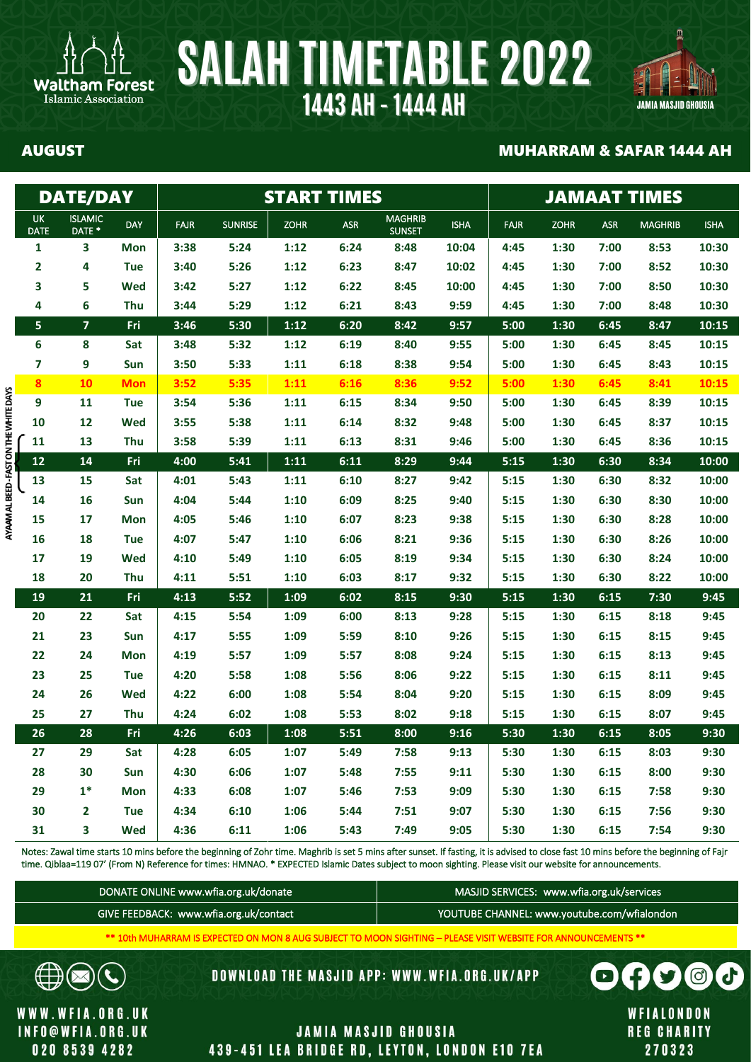



∄

 $\mathbf{C}$ 

 $\boxtimes$ 

WWW.WFIA.ORG.UK

**INFO@WFIA.ORG.UK** 

020 8539 4282

### AUGUST MUHARRAM & SAFAR 1444 AH

|                                        |                          | <b>DATE/DAY</b>                     |            |             |                |             | <b>START TIMES</b> | <b>JAMAAT TIMES</b>             |             |             |             |            |                |             |
|----------------------------------------|--------------------------|-------------------------------------|------------|-------------|----------------|-------------|--------------------|---------------------------------|-------------|-------------|-------------|------------|----------------|-------------|
|                                        | <b>UK</b><br><b>DATE</b> | <b>ISLAMIC</b><br>DATE <sup>*</sup> | <b>DAY</b> | <b>FAJR</b> | <b>SUNRISE</b> | <b>ZOHR</b> | <b>ASR</b>         | <b>MAGHRIB</b><br><b>SUNSET</b> | <b>ISHA</b> | <b>FAJR</b> | <b>ZOHR</b> | <b>ASR</b> | <b>MAGHRIB</b> | <b>ISHA</b> |
|                                        | $\mathbf{1}$             | 3                                   | <b>Mon</b> | 3:38        | 5:24           | 1:12        | 6:24               | 8:48                            | 10:04       | 4:45        | 1:30        | 7:00       | 8:53           | 10:30       |
|                                        | $\overline{\mathbf{2}}$  | 4                                   | <b>Tue</b> | 3:40        | 5:26           | 1:12        | 6:23               | 8:47                            | 10:02       | 4:45        | 1:30        | 7:00       | 8:52           | 10:30       |
|                                        | 3                        | 5                                   | Wed        | 3:42        | 5:27           | 1:12        | 6:22               | 8:45                            | 10:00       | 4:45        | 1:30        | 7:00       | 8:50           | 10:30       |
|                                        | 4                        | 6                                   | Thu        | 3:44        | 5:29           | 1:12        | 6:21               | 8:43                            | 9:59        | 4:45        | 1:30        | 7:00       | 8:48           | 10:30       |
|                                        | 5                        | $\overline{\mathbf{z}}$             | Fri        | 3:46        | 5:30           | 1:12        | 6:20               | 8:42                            | 9:57        | 5:00        | 1:30        | 6:45       | 8:47           | 10:15       |
|                                        | 6                        | 8                                   | Sat        | 3:48        | 5:32           | 1:12        | 6:19               | 8:40                            | 9:55        | 5:00        | 1:30        | 6:45       | 8:45           | 10:15       |
|                                        | $\overline{\mathbf{z}}$  | 9                                   | Sun        | 3:50        | 5:33           | 1:11        | 6:18               | 8:38                            | 9:54        | 5:00        | 1:30        | 6:45       | 8:43           | 10:15       |
|                                        | 8                        | 10                                  | <b>Mon</b> | 3:52        | 5:35           | 1:11        | 6:16               | 8:36                            | 9:52        | 5:00        | 1:30        | 6:45       | 8:41           | 10:15       |
|                                        | 9                        | 11                                  | <b>Tue</b> | 3:54        | 5:36           | 1:11        | 6:15               | 8:34                            | 9:50        | 5:00        | 1:30        | 6:45       | 8:39           | 10:15       |
|                                        | 10                       | 12                                  | Wed        | 3:55        | 5:38           | 1:11        | 6:14               | 8:32                            | 9:48        | 5:00        | 1:30        | 6:45       | 8:37           | 10:15       |
| AYAAM AL BEED - FAST ON THE WHITE DAYS | 11                       | 13                                  | Thu        | 3:58        | 5:39           | 1:11        | 6:13               | 8:31                            | 9:46        | 5:00        | 1:30        | 6:45       | 8:36           | 10:15       |
|                                        | 12                       | 14                                  | Fri        | 4:00        | 5:41           | 1:11        | 6:11               | 8:29                            | 9:44        | 5:15        | 1:30        | 6:30       | 8:34           | 10:00       |
|                                        | 13                       | 15                                  | Sat        | 4:01        | 5:43           | 1:11        | 6:10               | 8:27                            | 9:42        | 5:15        | 1:30        | 6:30       | 8:32           | 10:00       |
|                                        | 14                       | 16                                  | Sun        | 4:04        | 5:44           | 1:10        | 6:09               | 8:25                            | 9:40        | 5:15        | 1:30        | 6:30       | 8:30           | 10:00       |
|                                        | 15                       | 17                                  | <b>Mon</b> | 4:05        | 5:46           | 1:10        | 6:07               | 8:23                            | 9:38        | 5:15        | 1:30        | 6:30       | 8:28           | 10:00       |
|                                        | 16                       | 18                                  | <b>Tue</b> | 4:07        | 5:47           | 1:10        | 6:06               | 8:21                            | 9:36        | 5:15        | 1:30        | 6:30       | 8:26           | 10:00       |
|                                        | 17                       | 19                                  | Wed        | 4:10        | 5:49           | 1:10        | 6:05               | 8:19                            | 9:34        | 5:15        | 1:30        | 6:30       | 8:24           | 10:00       |
|                                        | 18                       | 20                                  | Thu        | 4:11        | 5:51           | 1:10        | 6:03               | 8:17                            | 9:32        | 5:15        | 1:30        | 6:30       | 8:22           | 10:00       |
|                                        | 19                       | 21                                  | Fri        | 4:13        | 5:52           | 1:09        | 6:02               | 8:15                            | 9:30        | 5:15        | 1:30        | 6:15       | 7:30           | 9:45        |
|                                        | 20                       | 22                                  | Sat        | 4:15        | 5:54           | 1:09        | 6:00               | 8:13                            | 9:28        | 5:15        | 1:30        | 6:15       | 8:18           | 9:45        |
|                                        | 21                       | 23                                  | Sun        | 4:17        | 5:55           | 1:09        | 5:59               | 8:10                            | 9:26        | 5:15        | 1:30        | 6:15       | 8:15           | 9:45        |
|                                        | 22                       | 24                                  | <b>Mon</b> | 4:19        | 5:57           | 1:09        | 5:57               | 8:08                            | 9:24        | 5:15        | 1:30        | 6:15       | 8:13           | 9:45        |
|                                        | 23                       | 25                                  | <b>Tue</b> | 4:20        | 5:58           | 1:08        | 5:56               | 8:06                            | 9:22        | 5:15        | 1:30        | 6:15       | 8:11           | 9:45        |
|                                        | 24                       | 26                                  | Wed        | 4:22        | 6:00           | 1:08        | 5:54               | 8:04                            | 9:20        | 5:15        | 1:30        | 6:15       | 8:09           | 9:45        |
|                                        | 25                       | 27                                  | Thu        | 4:24        | 6:02           | 1:08        | 5:53               | 8:02                            | 9:18        | 5:15        | 1:30        | 6:15       | 8:07           | 9:45        |
|                                        | 26                       | 28                                  | Fri        | 4:26        | 6:03           | 1:08        | 5:51               | 8:00                            | 9:16        | 5:30        | 1:30        | 6:15       | 8:05           | 9:30        |
|                                        | 27                       | 29                                  | Sat        | 4:28        | 6:05           | 1:07        | 5:49               | 7:58                            | 9:13        | 5:30        | 1:30        | 6:15       | 8:03           | 9:30        |
|                                        | 28                       | 30                                  | Sun        | 4:30        | 6:06           | 1:07        | 5:48               | 7:55                            | 9:11        | 5:30        | 1:30        | 6:15       | 8:00           | 9:30        |
|                                        | 29                       | $1*$                                | <b>Mon</b> | 4:33        | 6:08           | 1:07        | 5:46               | 7:53                            | 9:09        | 5:30        | 1:30        | 6:15       | 7:58           | 9:30        |
|                                        | 30                       | 2                                   | <b>Tue</b> | 4:34        | 6:10           | 1:06        | 5:44               | 7:51                            | 9:07        | 5:30        | 1:30        | 6:15       | 7:56           | 9:30        |
|                                        | 31                       | 3                                   | Wed        | 4:36        | 6:11           | 1:06        | 5:43               | 7:49                            | 9:05        | 5:30        | 1:30        | 6:15       | 7:54           | 9:30        |

Notes: Zawal time starts 10 mins before the beginning of Zohr time. Maghrib is set 5 mins after sunset. If fasting, it is advised to close fast 10 mins before the beginning of Fajr time. Qiblaa=119 07' (From N) Reference for times: HMNAO. \* EXPECTED Islamic Dates subject to moon sighting. Please visit our website for announcements.

| DONATE ONLINE www.wfia.org.uk/donate     | MASJID SERVICES: www.wfia.org.uk/services   |
|------------------------------------------|---------------------------------------------|
| GIVE FEEDBACK: www.wfia.org.uk/contact j | YOUTUBE CHANNEL: www.youtube.com/wfialondon |

\*\* 10th MUHARRAM IS EXPECTED ON MON 8 AUG SUBJECT TO MOON SIGHTING – PLEASE VISIT WEBSITE FOR ANNOUNCEMENTS \*\*

DOWNLOAD THE MASJID APP: WWW.WFIA.ORG.UK/APP

**JAMIA MASJID GHOUSIA** 

439-451 LEA BRIDGE RD, LEYTON, LONDON E10 7EA

WFIALONDON **REG CHARITY** 270323

 $\boldsymbol{\Omega}$ 

A

 $\blacksquare$ 

 $\boldsymbol{\theta}$ 

 $\odot$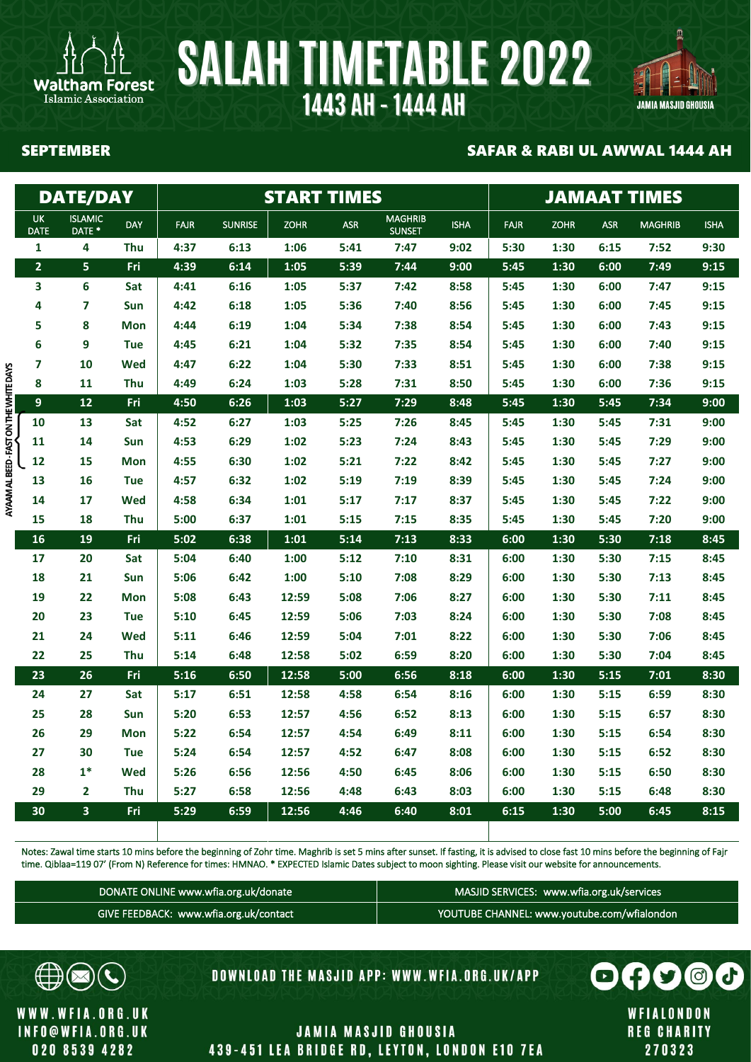



Islamic Association

### SEPTEMBER SAFAR & RABI UL AWWAL 1444 AH

|                                      |                          | <b>DATE/DAY</b>                     |            |             |                | <b>START TIMES</b> |            | <b>JAMAAT TIMES</b>             |             |             |             |            |                |             |
|--------------------------------------|--------------------------|-------------------------------------|------------|-------------|----------------|--------------------|------------|---------------------------------|-------------|-------------|-------------|------------|----------------|-------------|
|                                      | <b>UK</b><br><b>DATE</b> | <b>ISLAMIC</b><br>DATE <sup>*</sup> | <b>DAY</b> | <b>FAJR</b> | <b>SUNRISE</b> | <b>ZOHR</b>        | <b>ASR</b> | <b>MAGHRIB</b><br><b>SUNSET</b> | <b>ISHA</b> | <b>FAJR</b> | <b>ZOHR</b> | <b>ASR</b> | <b>MAGHRIB</b> | <b>ISHA</b> |
|                                      | $\mathbf{1}$             | 4                                   | Thu        | 4:37        | 6:13           | 1:06               | 5:41       | 7:47                            | 9:02        | 5:30        | 1:30        | 6:15       | 7:52           | 9:30        |
|                                      | $\overline{\mathbf{2}}$  | 5                                   | Fri        | 4:39        | 6:14           | 1:05               | 5:39       | 7:44                            | 9:00        | 5:45        | 1:30        | 6:00       | 7:49           | 9:15        |
|                                      | 3                        | 6                                   | Sat        | 4:41        | 6:16           | 1:05               | 5:37       | 7:42                            | 8:58        | 5:45        | 1:30        | 6:00       | 7:47           | 9:15        |
|                                      | 4                        | 7                                   | Sun        | 4:42        | 6:18           | 1:05               | 5:36       | 7:40                            | 8:56        | 5:45        | 1:30        | 6:00       | 7:45           | 9:15        |
|                                      | 5                        | 8                                   | <b>Mon</b> | 4:44        | 6:19           | 1:04               | 5:34       | 7:38                            | 8:54        | 5:45        | 1:30        | 6:00       | 7:43           | 9:15        |
|                                      | 6                        | 9                                   | <b>Tue</b> | 4:45        | 6:21           | 1:04               | 5:32       | 7:35                            | 8:54        | 5:45        | 1:30        | 6:00       | 7:40           | 9:15        |
|                                      | 7                        | 10                                  | Wed        | 4:47        | 6:22           | 1:04               | 5:30       | 7:33                            | 8:51        | 5:45        | 1:30        | 6:00       | 7:38           | 9:15        |
|                                      | 8                        | 11                                  | Thu        | 4:49        | 6:24           | 1:03               | 5:28       | 7:31                            | 8:50        | 5:45        | 1:30        | 6:00       | 7:36           | 9:15        |
| AYAAM AL BEED-FAST ON THE WHITE DAYS | 9                        | 12                                  | Fri        | 4:50        | 6:26           | 1:03               | 5:27       | 7:29                            | 8:48        | 5:45        | 1:30        | 5:45       | 7:34           | 9:00        |
|                                      | 10                       | 13                                  | Sat        | 4:52        | 6:27           | 1:03               | 5:25       | 7:26                            | 8:45        | 5:45        | 1:30        | 5:45       | 7:31           | 9:00        |
|                                      | 11                       | 14                                  | Sun        | 4:53        | 6:29           | 1:02               | 5:23       | 7:24                            | 8:43        | 5:45        | 1:30        | 5:45       | 7:29           | 9:00        |
|                                      | 12                       | 15                                  | Mon        | 4:55        | 6:30           | 1:02               | 5:21       | 7:22                            | 8:42        | 5:45        | 1:30        | 5:45       | 7:27           | 9:00        |
|                                      | 13                       | 16                                  | <b>Tue</b> | 4:57        | 6:32           | 1:02               | 5:19       | 7:19                            | 8:39        | 5:45        | 1:30        | 5:45       | 7:24           | 9:00        |
|                                      | 14                       | 17                                  | Wed        | 4:58        | 6:34           | 1:01               | 5:17       | 7:17                            | 8:37        | 5:45        | 1:30        | 5:45       | 7:22           | 9:00        |
|                                      | 15                       | 18                                  | Thu        | 5:00        | 6:37           | 1:01               | 5:15       | 7:15                            | 8:35        | 5:45        | 1:30        | 5:45       | 7:20           | 9:00        |
|                                      | 16                       | 19                                  | Fri        | 5:02        | 6:38           | 1:01               | 5:14       | 7:13                            | 8:33        | 6:00        | 1:30        | 5:30       | 7:18           | 8:45        |
|                                      | 17                       | 20                                  | Sat        | 5:04        | 6:40           | 1:00               | 5:12       | 7:10                            | 8:31        | 6:00        | 1:30        | 5:30       | 7:15           | 8:45        |
|                                      | 18                       | 21                                  | Sun        | 5:06        | 6:42           | 1:00               | 5:10       | 7:08                            | 8:29        | 6:00        | 1:30        | 5:30       | 7:13           | 8:45        |
|                                      | 19                       | 22                                  | <b>Mon</b> | 5:08        | 6:43           | 12:59              | 5:08       | 7:06                            | 8:27        | 6:00        | 1:30        | 5:30       | 7:11           | 8:45        |
|                                      | 20                       | 23                                  | <b>Tue</b> | 5:10        | 6:45           | 12:59              | 5:06       | 7:03                            | 8:24        | 6:00        | 1:30        | 5:30       | 7:08           | 8:45        |
|                                      | 21                       | 24                                  | Wed        | 5:11        | 6:46           | 12:59              | 5:04       | 7:01                            | 8:22        | 6:00        | 1:30        | 5:30       | 7:06           | 8:45        |
|                                      | 22                       | 25                                  | Thu        | 5:14        | 6:48           | 12:58              | 5:02       | 6:59                            | 8:20        | 6:00        | 1:30        | 5:30       | 7:04           | 8:45        |
|                                      | 23                       | 26                                  | Fri        | 5:16        | 6:50           | 12:58              | 5:00       | 6:56                            | 8:18        | 6:00        | 1:30        | 5:15       | 7:01           | 8:30        |
|                                      | 24                       | 27                                  | Sat        | 5:17        | 6:51           | 12:58              | 4:58       | 6:54                            | 8:16        | 6:00        | 1:30        | 5:15       | 6:59           | 8:30        |
|                                      | 25                       | 28                                  | Sun        | 5:20        | 6:53           | 12:57              | 4:56       | 6:52                            | 8:13        | 6:00        | 1:30        | 5:15       | 6:57           | 8:30        |
|                                      | 26                       | 29                                  | Mon        | 5:22        | 6:54           | 12:57              | 4:54       | 6:49                            | 8:11        | 6:00        | 1:30        | 5:15       | 6:54           | 8:30        |
|                                      | 27                       | 30                                  | <b>Tue</b> | 5:24        | 6:54           | 12:57              | 4:52       | 6:47                            | 8:08        | 6:00        | 1:30        | 5:15       | 6:52           | 8:30        |
|                                      | 28                       | $1*$                                | Wed        | 5:26        | 6:56           | 12:56              | 4:50       | 6:45                            | 8:06        | 6:00        | 1:30        | 5:15       | 6:50           | 8:30        |
|                                      | 29                       | $\overline{2}$                      | Thu        | 5:27        | 6:58           | 12:56              | 4:48       | 6:43                            | 8:03        | 6:00        | 1:30        | 5:15       | 6:48           | 8:30        |
|                                      | 30                       | $\overline{\mathbf{3}}$             | Fri        | 5:29        | 6:59           | 12:56              | 4:46       | 6:40                            | 8:01        | 6:15        | 1:30        | 5:00       | 6:45           | 8:15        |
|                                      |                          |                                     |            |             |                |                    |            |                                 |             |             |             |            |                |             |

Notes: Zawal time starts 10 mins before the beginning of Zohr time. Maghrib is set 5 mins after sunset. If fasting, it is advised to close fast 10 mins before the beginning of Fajr time. Qiblaa=119 07' (From N) Reference for times: HMNAO. \* EXPECTED Islamic Dates subject to moon sighting. Please visit our website for announcements.

| DONATE ONLINE www.wfia.org.uk/donate   | MASJID SERVICES: www.wfia.org.uk/services   |
|----------------------------------------|---------------------------------------------|
| GIVE FEEDBACK: www.wfia.org.uk/contact | YOUTUBE CHANNEL: www.youtube.com/wfialondon |



DOWNLOAD THE MASJID APP: WWW.WFIA.ORG.UK/APP

WWW.WFIA.ORG.UK **INFO@WFIA.ORG.UK** 020 8539 4282

**JAMIA MASJID GHOUSIA** 439-451 LEA BRIDGE RD, LEYTON, LONDON E10 7EA



**REG CHARITY** 

270323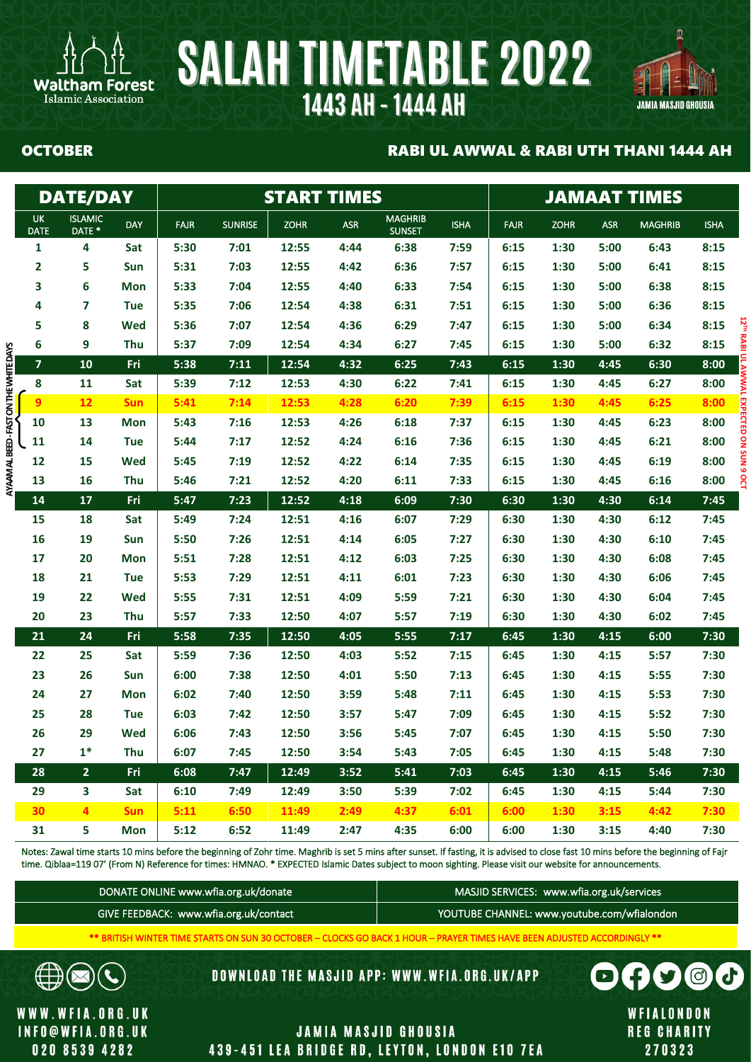



### OCTOBER RABI UL AWWAL & RABI UTH THANI 1444 AH

|                                              | <b>DATE/DAY</b>          |            |             |                                        | <b>START TIMES</b> |                                                                                                                          |                                                                                                                                                                                                                                                                                                                                                  |             |                                           |             | <b>JAMAAT TIMES</b> |                |             |
|----------------------------------------------|--------------------------|------------|-------------|----------------------------------------|--------------------|--------------------------------------------------------------------------------------------------------------------------|--------------------------------------------------------------------------------------------------------------------------------------------------------------------------------------------------------------------------------------------------------------------------------------------------------------------------------------------------|-------------|-------------------------------------------|-------------|---------------------|----------------|-------------|
| UK<br>DATE                                   | <b>ISLAMIC</b><br>DATE * | <b>DAY</b> | <b>FAJR</b> | <b>SUNRISE</b>                         | <b>ZOHR</b>        | <b>ASR</b>                                                                                                               | <b>MAGHRIB</b><br><b>SUNSET</b>                                                                                                                                                                                                                                                                                                                  | <b>ISHA</b> | <b>FAJR</b>                               | <b>ZOHR</b> | <b>ASR</b>          | <b>MAGHRIB</b> | <b>ISHA</b> |
| $\mathbf{1}$                                 | 4                        | Sat        | 5:30        | 7:01                                   | 12:55              | 4:44                                                                                                                     | 6:38                                                                                                                                                                                                                                                                                                                                             | 7:59        | 6:15                                      | 1:30        | 5:00                | 6:43           | 8:15        |
| 2                                            | 5                        | Sun        | 5:31        | 7:03                                   | 12:55              | 4:42                                                                                                                     | 6:36                                                                                                                                                                                                                                                                                                                                             | 7:57        | 6:15                                      | 1:30        | 5:00                | 6:41           | 8:15        |
| 3                                            | 6                        | <b>Mon</b> | 5:33        | 7:04                                   | 12:55              | 4:40                                                                                                                     | 6:33                                                                                                                                                                                                                                                                                                                                             | 7:54        | 6:15                                      | 1:30        | 5:00                | 6:38           | 8:15        |
| 4                                            | 7                        | <b>Tue</b> | 5:35        | 7:06                                   | 12:54              | 4:38                                                                                                                     | 6:31                                                                                                                                                                                                                                                                                                                                             | 7:51        | 6:15                                      | 1:30        | 5:00                | 6:36           | 8:15        |
| 5                                            | 8                        | <b>Wed</b> | 5:36        | 7:07                                   | 12:54              | 4:36                                                                                                                     | 6:29                                                                                                                                                                                                                                                                                                                                             | 7:47        | 6:15                                      | 1:30        | 5:00                | 6:34           | 8:15        |
| 6                                            | 9                        | Thu        | 5:37        | 7:09                                   | 12:54              | 4:34                                                                                                                     | 6:27                                                                                                                                                                                                                                                                                                                                             | 7:45        | 6:15                                      | 1:30        | 5:00                | 6:32           | 8:15        |
| $\overline{\mathbf{z}}$                      | 10                       | Fri        | 5:38        | 7:11                                   | 12:54              | 4:32                                                                                                                     | 6:25                                                                                                                                                                                                                                                                                                                                             | 7:43        | 6:15                                      | 1:30        | 4:45                | 6:30           | 8:00        |
| 8                                            | 11                       | Sat        | 5:39        | 7:12                                   | 12:53              | 4:30                                                                                                                     | 6:22                                                                                                                                                                                                                                                                                                                                             | 7:41        | 6:15                                      | 1:30        | 4:45                | 6:27           | 8:00        |
| 9                                            | 12                       | <b>Sun</b> | 5:41        | 7:14                                   | 12:53              | 4:28                                                                                                                     | 6:20                                                                                                                                                                                                                                                                                                                                             | 7:39        | 6:15                                      | 1:30        | 4:45                | 6:25           | 8:00        |
| 10                                           | 13                       | Mon        | 5:43        | 7:16                                   | 12:53              | 4:26                                                                                                                     | 6:18                                                                                                                                                                                                                                                                                                                                             | 7:37        | 6:15                                      | 1:30        | 4:45                | 6:23           | 8:00        |
| 11                                           | 14                       | <b>Tue</b> | 5:44        | 7:17                                   | 12:52              | 4:24                                                                                                                     | 6:16                                                                                                                                                                                                                                                                                                                                             | 7:36        | 6:15                                      | 1:30        | 4:45                | 6:21           | 8:00        |
| 12                                           | 15                       | <b>Wed</b> | 5:45        | 7:19                                   | 12:52              | 4:22                                                                                                                     | 6:14                                                                                                                                                                                                                                                                                                                                             | 7:35        | 6:15                                      | 1:30        | 4:45                | 6:19           | 8:00        |
| AYAAM AL BEED - FAST ON THE WHITE DAYS<br>13 | 16                       | Thu        | 5:46        | 7:21                                   | 12:52              | 4:20                                                                                                                     | 6:11                                                                                                                                                                                                                                                                                                                                             | 7:33        | 6:15                                      | 1:30        | 4:45                | 6:16           | 8:00        |
| 14                                           | 17                       | Fri        | 5:47        | 7:23                                   | 12:52              | 4:18                                                                                                                     | 6:09                                                                                                                                                                                                                                                                                                                                             | 7:30        | 6:30                                      | 1:30        | 4:30                | 6:14           | 7:45        |
| 15                                           | 18                       | Sat        | 5:49        | 7:24                                   | 12:51              | 4:16                                                                                                                     | 6:07                                                                                                                                                                                                                                                                                                                                             | 7:29        | 6:30                                      | 1:30        | 4:30                | 6:12           | 7:45        |
| 16                                           | 19                       | Sun        | 5:50        | 7:26                                   | 12:51              | 4:14                                                                                                                     | 6:05                                                                                                                                                                                                                                                                                                                                             | 7:27        | 6:30                                      | 1:30        | 4:30                | 6:10           | 7:45        |
| 17                                           | 20                       | <b>Mon</b> | 5:51        | 7:28                                   | 12:51              | 4:12                                                                                                                     | 6:03                                                                                                                                                                                                                                                                                                                                             | 7:25        | 6:30                                      | 1:30        | 4:30                | 6:08           | 7:45        |
| 18                                           | 21                       | <b>Tue</b> | 5:53        | 7:29                                   | 12:51              | 4:11                                                                                                                     | 6:01                                                                                                                                                                                                                                                                                                                                             | 7:23        | 6:30                                      | 1:30        | 4:30                | 6:06           | 7:45        |
| 19                                           | 22                       | <b>Wed</b> | 5:55        | 7:31                                   | 12:51              | 4:09                                                                                                                     | 5:59                                                                                                                                                                                                                                                                                                                                             | 7:21        | 6:30                                      | 1:30        | 4:30                | 6:04           | 7:45        |
| 20                                           | 23                       | Thu        | 5:57        | 7:33                                   | 12:50              | 4:07                                                                                                                     | 5:57                                                                                                                                                                                                                                                                                                                                             | 7:19        | 6:30                                      | 1:30        | 4:30                | 6:02           | 7:45        |
| 21                                           | 24                       | Fri        | 5:58        | 7:35                                   | 12:50              | 4:05                                                                                                                     | 5:55                                                                                                                                                                                                                                                                                                                                             | 7:17        | 6:45                                      | 1:30        | 4:15                | 6:00           | 7:30        |
| 22                                           | 25                       | Sat        | 5:59        | 7:36                                   | 12:50              | 4:03                                                                                                                     | 5:52                                                                                                                                                                                                                                                                                                                                             | 7:15        | 6:45                                      | 1:30        | 4:15                | 5:57           | 7:30        |
| 23                                           | 26                       | Sun        | 6:00        | 7:38                                   | 12:50              | 4:01                                                                                                                     | 5:50                                                                                                                                                                                                                                                                                                                                             | 7:13        | 6:45                                      | 1:30        | 4:15                | 5:55           | 7:30        |
| 24                                           | 27                       | <b>Mon</b> | 6:02        | 7:40                                   | 12:50              | 3:59                                                                                                                     | 5:48                                                                                                                                                                                                                                                                                                                                             | 7:11        | 6:45                                      | 1:30        | 4:15                | 5:53           | 7:30        |
| 25                                           | 28                       | <b>Tue</b> | 6:03        | 7:42                                   | 12:50              | 3:57                                                                                                                     | 5:47                                                                                                                                                                                                                                                                                                                                             | 7:09        | 6:45                                      | 1:30        | 4:15                | 5:52           | 7:30        |
| 26                                           | 29                       | <b>Wed</b> | 6:06        | 7:43                                   | 12:50              | 3:56                                                                                                                     | 5:45                                                                                                                                                                                                                                                                                                                                             | 7:07        | 6:45                                      | 1:30        | 4:15                | 5:50           | 7:30        |
| 27                                           | $1*$                     | Thu        | 6:07        | 7:45                                   | 12:50              | 3:54                                                                                                                     | 5:43                                                                                                                                                                                                                                                                                                                                             | 7:05        | 6:45                                      | 1:30        | 4:15                | 5:48           | 7:30        |
| 28                                           | 2 <sub>2</sub>           | Fri        | 6:08        | 7:47                                   | 12:49              | 3:52                                                                                                                     | 5:41                                                                                                                                                                                                                                                                                                                                             | 7:03        | 6:45                                      | 1:30        | 4:15                | 5:46           | 7:30        |
| 29                                           | $\mathbf{3}$             | Sat        | 6:10        | 7:49                                   | 12:49              | 3:50                                                                                                                     | 5:39                                                                                                                                                                                                                                                                                                                                             | 7:02        | 6:45                                      | 1:30        | 4:15                | 5:44           | 7:30        |
| 30                                           | $\overline{4}$           | <b>Sun</b> | 5:11        | 6:50                                   | 11:49              | 2:49                                                                                                                     | 4:37                                                                                                                                                                                                                                                                                                                                             | 6:01        | 6:00                                      | 1:30        | 3:15                | 4:42           | 7:30        |
| 31                                           | 5                        | Mon        | 5:12        | 6:52                                   | 11:49              | 2:47                                                                                                                     | 4:35                                                                                                                                                                                                                                                                                                                                             | 6:00        | 6:00                                      | 1:30        | 3:15                | 4:40           | 7:30        |
|                                              |                          |            |             | DONATE ONLINE www.wfia.org.uk/donate   |                    |                                                                                                                          | Notes: Zawal time starts 10 mins before the beginning of Zohr time. Maghrib is set 5 mins after sunset. If fasting, it is advised to close fast 10 mins before the beginning of Fajr<br>time. Qiblaa=119 07' (From N) Reference for times: HMNAO. * EXPECTED Islamic Dates subject to moon sighting. Please visit our website for announcements. |             | MASJID SERVICES: www.wfia.org.uk/services |             |                     |                |             |
|                                              |                          |            |             | GIVE FEEDBACK: www.wfia.org.uk/contact |                    |                                                                                                                          | YOUTUBE CHANNEL: www.youtube.com/wfialondon                                                                                                                                                                                                                                                                                                      |             |                                           |             |                     |                |             |
|                                              |                          |            |             |                                        |                    | ** BRITISH WINTER TIME STARTS ON SUN 30 OCTOBER - CLOCKS GO BACK 1 HOUR - PRAYER TIMES HAVE BEEN ADJUSTED ACCORDINGLY ** |                                                                                                                                                                                                                                                                                                                                                  |             |                                           |             |                     |                |             |

| DONATE ONLINE www.wfia.org.uk/donate   | MASJID SERVICES: www.wfia.org.uk/services   |
|----------------------------------------|---------------------------------------------|
| GIVE FEEDBACK: www.wfia.org.uk/contact | YOUTUBE CHANNEL: www.youtube.com/wfialondon |

**DOWNLOAD THE MASJID APP: WWW.WFIA.ORG.UK/APP** 

WWW.WFIA.ORG.UK **INFO@WFIA.ORG.UK** 020 8539 4282

 $\mathbf{C}$ 

∉

## **JAMIA MASJID GHOUSIA** 439-451 LEA BRIDGE RD, LEYTON, LONDON E10 7EA

WFIALONDON **REG CHARITY** 270323

 $\boldsymbol{\Omega}$ 

 $\Theta$ 

 $\blacksquare$ 

d.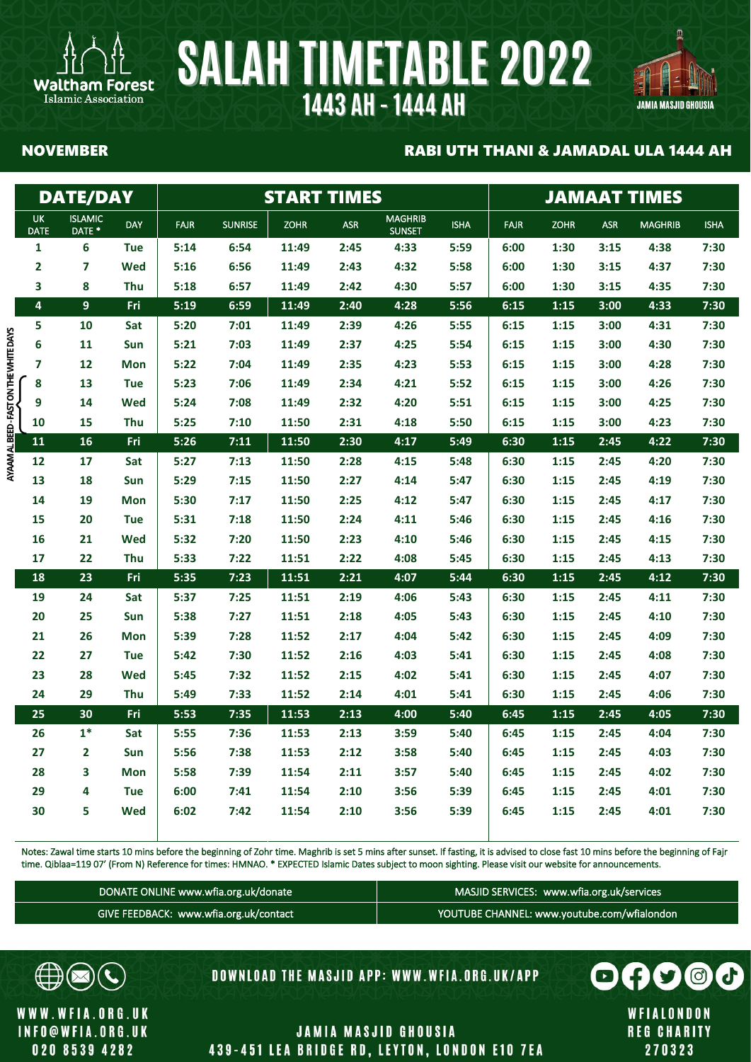

## 凰 JAMIA MASJID GHOUSIA

Islamic Association

### NOVEMBER RABI UTH THANI & JAMADAL ULA 1444 AH

|                                       |                          | <b>DATE/DAY</b>                     |            |             |                | <b>START TIMES</b> |            | <b>JAMAAT TIMES</b>             |             |             |             |            |                |             |
|---------------------------------------|--------------------------|-------------------------------------|------------|-------------|----------------|--------------------|------------|---------------------------------|-------------|-------------|-------------|------------|----------------|-------------|
|                                       | <b>UK</b><br><b>DATE</b> | <b>ISLAMIC</b><br>DATE <sup>*</sup> | DAY        | <b>FAJR</b> | <b>SUNRISE</b> | <b>ZOHR</b>        | <b>ASR</b> | <b>MAGHRIB</b><br><b>SUNSET</b> | <b>ISHA</b> | <b>FAJR</b> | <b>ZOHR</b> | <b>ASR</b> | <b>MAGHRIB</b> | <b>ISHA</b> |
|                                       | 1                        | 6                                   | <b>Tue</b> | 5:14        | 6:54           | 11:49              | 2:45       | 4:33                            | 5:59        | 6:00        | 1:30        | 3:15       | 4:38           | 7:30        |
|                                       | $\overline{\mathbf{2}}$  | $\overline{\mathbf{z}}$             | Wed        | 5:16        | 6:56           | 11:49              | 2:43       | 4:32                            | 5:58        | 6:00        | 1:30        | 3:15       | 4:37           | 7:30        |
|                                       | 3                        | 8                                   | Thu        | 5:18        | 6:57           | 11:49              | 2:42       | 4:30                            | 5:57        | 6:00        | 1:30        | 3:15       | 4:35           | 7:30        |
|                                       | 4                        | $\overline{9}$                      | Fri        | 5:19        | 6:59           | 11:49              | 2:40       | 4:28                            | 5:56        | 6:15        | 1:15        | 3:00       | 4:33           | 7:30        |
|                                       | 5                        | 10                                  | Sat        | 5:20        | 7:01           | 11:49              | 2:39       | 4:26                            | 5:55        | 6:15        | 1:15        | 3:00       | 4:31           | 7:30        |
|                                       | 6                        | 11                                  | Sun        | 5:21        | 7:03           | 11:49              | 2:37       | 4:25                            | 5:54        | 6:15        | 1:15        | 3:00       | 4:30           | 7:30        |
|                                       | 7                        | 12                                  | <b>Mon</b> | 5:22        | 7:04           | 11:49              | 2:35       | 4:23                            | 5:53        | 6:15        | 1:15        | 3:00       | 4:28           | 7:30        |
|                                       | 8                        | 13                                  | <b>Tue</b> | 5:23        | 7:06           | 11:49              | 2:34       | 4:21                            | 5:52        | 6:15        | 1:15        | 3:00       | 4:26           | 7:30        |
|                                       | 9                        | 14                                  | Wed        | 5:24        | 7:08           | 11:49              | 2:32       | 4:20                            | 5:51        | 6:15        | 1:15        | 3:00       | 4:25           | 7:30        |
|                                       | 10                       | 15                                  | Thu        | 5:25        | 7:10           | 11:50              | 2:31       | 4:18                            | 5:50        | 6:15        | 1:15        | 3:00       | 4:23           | 7:30        |
| AYAAM ALBEED - FAST ON THE WHITE DAYS | 11                       | 16                                  | Fri        | 5:26        | 7:11           | 11:50              | 2:30       | 4:17                            | 5:49        | 6:30        | 1:15        | 2:45       | 4:22           | 7:30        |
|                                       | 12                       | 17                                  | Sat        | 5:27        | 7:13           | 11:50              | 2:28       | 4:15                            | 5:48        | 6:30        | 1:15        | 2:45       | 4:20           | 7:30        |
|                                       | 13                       | 18                                  | Sun        | 5:29        | 7:15           | 11:50              | 2:27       | 4:14                            | 5:47        | 6:30        | 1:15        | 2:45       | 4:19           | 7:30        |
|                                       | 14                       | 19                                  | <b>Mon</b> | 5:30        | 7:17           | 11:50              | 2:25       | 4:12                            | 5:47        | 6:30        | 1:15        | 2:45       | 4:17           | 7:30        |
|                                       | 15                       | 20                                  | <b>Tue</b> | 5:31        | 7:18           | 11:50              | 2:24       | 4:11                            | 5:46        | 6:30        | 1:15        | 2:45       | 4:16           | 7:30        |
|                                       | 16                       | 21                                  | Wed        | 5:32        | 7:20           | 11:50              | 2:23       | 4:10                            | 5:46        | 6:30        | 1:15        | 2:45       | 4:15           | 7:30        |
|                                       | 17                       | 22                                  | <b>Thu</b> | 5:33        | 7:22           | 11:51              | 2:22       | 4:08                            | 5:45        | 6:30        | 1:15        | 2:45       | 4:13           | 7:30        |
|                                       | 18                       | 23                                  | Fri        | 5:35        | 7:23           | 11:51              | 2:21       | 4:07                            | 5:44        | 6:30        | 1:15        | 2:45       | 4:12           | 7:30        |
|                                       | 19                       | 24                                  | Sat        | 5:37        | 7:25           | 11:51              | 2:19       | 4:06                            | 5:43        | 6:30        | 1:15        | 2:45       | 4:11           | 7:30        |
|                                       | 20                       | 25                                  | Sun        | 5:38        | 7:27           | 11:51              | 2:18       | 4:05                            | 5:43        | 6:30        | 1:15        | 2:45       | 4:10           | 7:30        |
|                                       | 21                       | 26                                  | <b>Mon</b> | 5:39        | 7:28           | 11:52              | 2:17       | 4:04                            | 5:42        | 6:30        | 1:15        | 2:45       | 4:09           | 7:30        |
|                                       | 22                       | 27                                  | <b>Tue</b> | 5:42        | 7:30           | 11:52              | 2:16       | 4:03                            | 5:41        | 6:30        | 1:15        | 2:45       | 4:08           | 7:30        |
|                                       | 23                       | 28                                  | Wed        | 5:45        | 7:32           | 11:52              | 2:15       | 4:02                            | 5:41        | 6:30        | 1:15        | 2:45       | 4:07           | 7:30        |
|                                       | 24                       | 29                                  | Thu        | 5:49        | 7:33           | 11:52              | 2:14       | 4:01                            | 5:41        | 6:30        | 1:15        | 2:45       | 4:06           | 7:30        |
|                                       | 25                       | 30                                  | Fri        | 5:53        | 7:35           | 11:53              | 2:13       | 4:00                            | 5:40        | 6:45        | 1:15        | 2:45       | 4:05           | 7:30        |
|                                       | 26                       | $1*$                                | Sat        | 5:55        | 7:36           | 11:53              | 2:13       | 3:59                            | 5:40        | 6:45        | 1:15        | 2:45       | 4:04           | 7:30        |
|                                       | 27                       | $\overline{2}$                      | Sun        | 5:56        | 7:38           | 11:53              | 2:12       | 3:58                            | 5:40        | 6:45        | 1:15        | 2:45       | 4:03           | 7:30        |
|                                       | 28                       | 3                                   | <b>Mon</b> | 5:58        | 7:39           | 11:54              | 2:11       | 3:57                            | 5:40        | 6:45        | 1:15        | 2:45       | 4:02           | 7:30        |
|                                       | 29                       | 4                                   | <b>Tue</b> | 6:00        | 7:41           | 11:54              | 2:10       | 3:56                            | 5:39        | 6:45        | 1:15        | 2:45       | 4:01           | 7:30        |
|                                       | 30                       | 5                                   | Wed        | 6:02        | 7:42           | 11:54              | 2:10       | 3:56                            | 5:39        | 6:45        | 1:15        | 2:45       | 4:01           | 7:30        |

Notes: Zawal time starts 10 mins before the beginning of Zohr time. Maghrib is set 5 mins after sunset. If fasting, it is advised to close fast 10 mins before the beginning of Fajr time. Qiblaa=119 07' (From N) Reference for times: HMNAO. \* EXPECTED Islamic Dates subject to moon sighting. Please visit our website for announcements.

| DONATE ONLINE www.wfia.org.uk/donate   | MASJID SERVICES: www.wfia.org.uk/services   |
|----------------------------------------|---------------------------------------------|
| GIVE FEEDBACK: www.wfia.org.uk/contact | YOUTUBE CHANNEL: www.youtube.com/wfialondon |



WWW.WFIA.ORG.UK **INFO@WFIA.ORG.UK** 020 8539 4282

**DOWNLOAD THE MASJID APP: WWW.WFIA.ORG.UK/APP** 

WFIALONDON **REG CHARITY** 270323

 $\mathbf{O}$   $\mathbf{H}$   $\mathbf{S}$ 

G)

 $\odot$